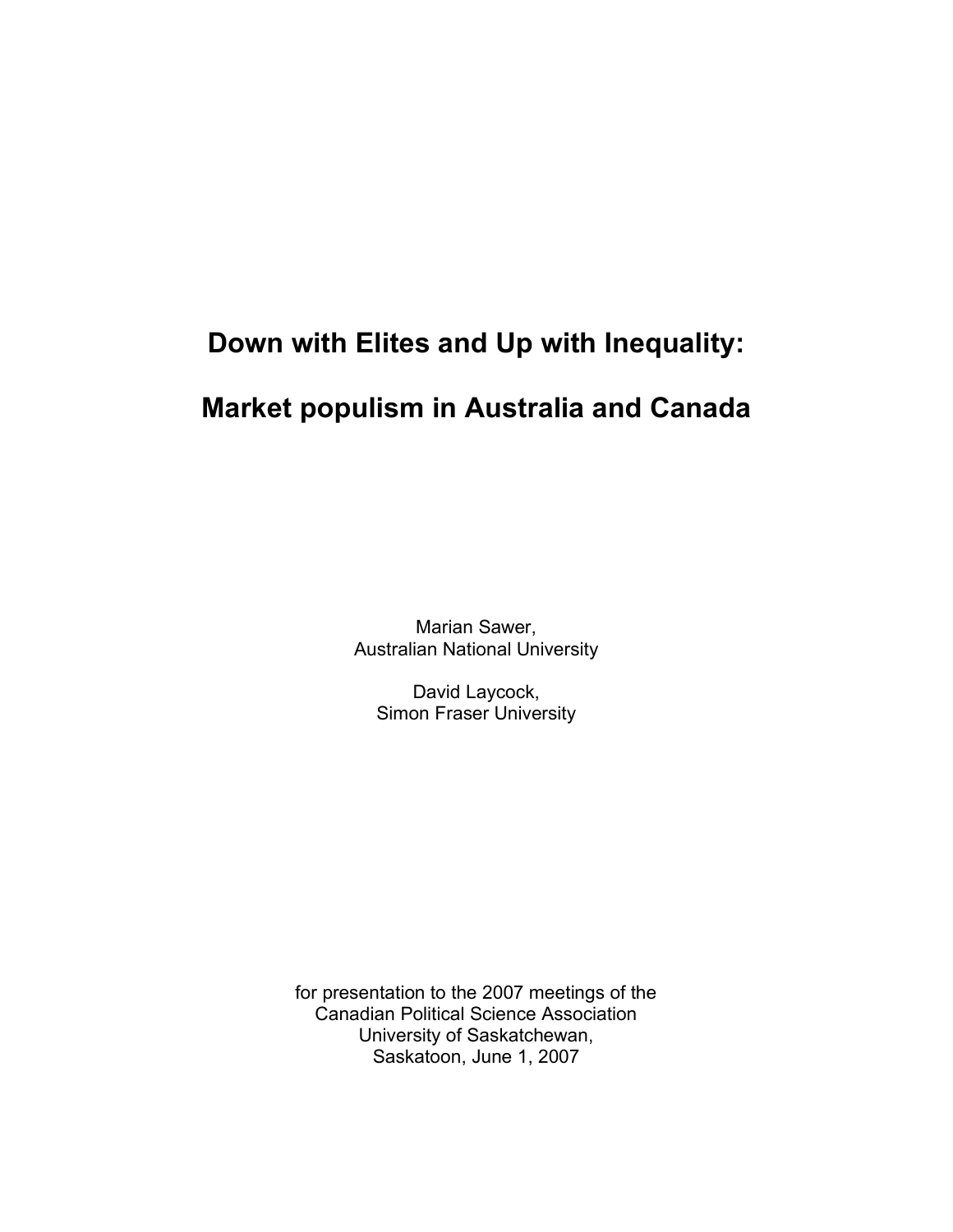# **Down with Elites and Up with Inequality:**

# **Market populism in Australia and Canada**

Marian Sawer, Australian National University

David Laycock, Simon Fraser University

for presentation to the 2007 meetings of the Canadian Political Science Association University of Saskatchewan, Saskatoon, June 1, 2007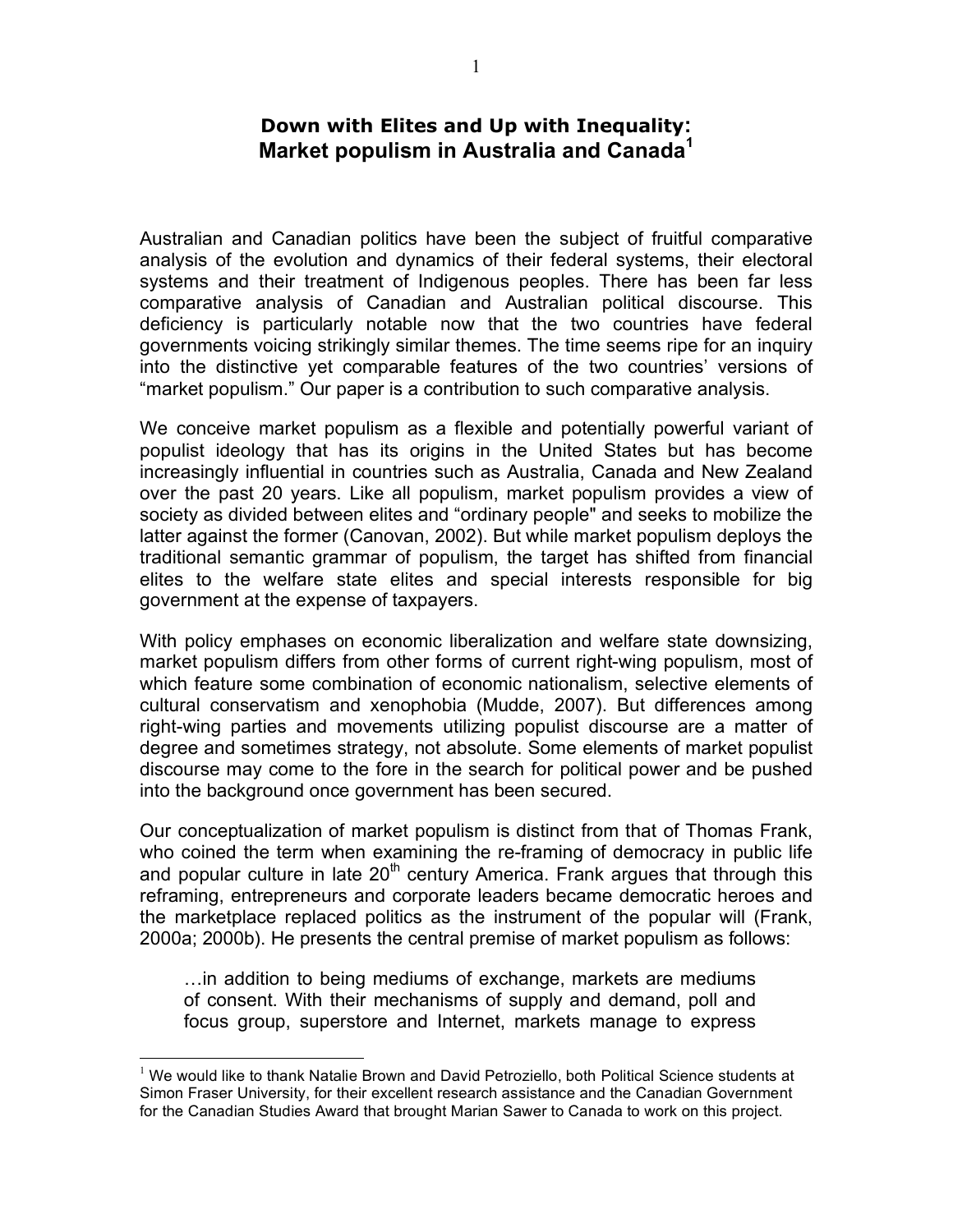## **Down with Elites and Up with Inequality: Market populism in Australia and Canada<sup>1</sup>**

Australian and Canadian politics have been the subject of fruitful comparative analysis of the evolution and dynamics of their federal systems, their electoral systems and their treatment of Indigenous peoples. There has been far less comparative analysis of Canadian and Australian political discourse. This deficiency is particularly notable now that the two countries have federal governments voicing strikingly similar themes. The time seems ripe for an inquiry into the distinctive yet comparable features of the two countries' versions of "market populism." Our paper is a contribution to such comparative analysis.

We conceive market populism as a flexible and potentially powerful variant of populist ideology that has its origins in the United States but has become increasingly influential in countries such as Australia, Canada and New Zealand over the past 20 years. Like all populism, market populism provides a view of society as divided between elites and "ordinary people" and seeks to mobilize the latter against the former (Canovan, 2002). But while market populism deploys the traditional semantic grammar of populism, the target has shifted from financial elites to the welfare state elites and special interests responsible for big government at the expense of taxpayers.

With policy emphases on economic liberalization and welfare state downsizing, market populism differs from other forms of current right-wing populism, most of which feature some combination of economic nationalism, selective elements of cultural conservatism and xenophobia (Mudde, 2007). But differences among right-wing parties and movements utilizing populist discourse are a matter of degree and sometimes strategy, not absolute. Some elements of market populist discourse may come to the fore in the search for political power and be pushed into the background once government has been secured.

Our conceptualization of market populism is distinct from that of Thomas Frank, who coined the term when examining the re-framing of democracy in public life and popular culture in late  $20<sup>th</sup>$  century America. Frank argues that through this reframing, entrepreneurs and corporate leaders became democratic heroes and the marketplace replaced politics as the instrument of the popular will (Frank, 2000a; 2000b). He presents the central premise of market populism as follows:

…in addition to being mediums of exchange, markets are mediums of consent. With their mechanisms of supply and demand, poll and focus group, superstore and Internet, markets manage to express

 $<sup>1</sup>$  We would like to thank Natalie Brown and David Petroziello, both Political Science students at</sup> Simon Fraser University, for their excellent research assistance and the Canadian Government for the Canadian Studies Award that brought Marian Sawer to Canada to work on this project.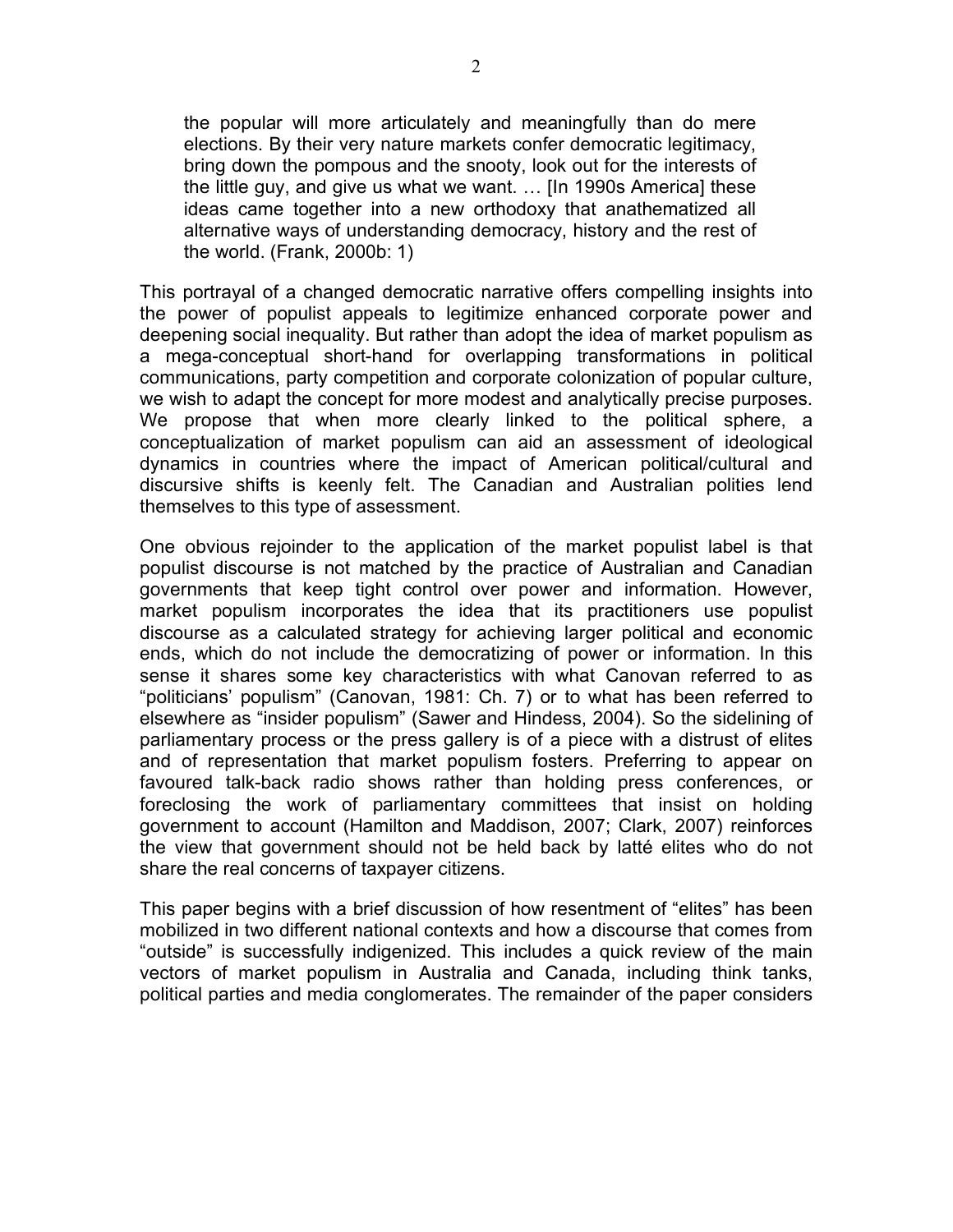the popular will more articulately and meaningfully than do mere elections. By their very nature markets confer democratic legitimacy, bring down the pompous and the snooty, look out for the interests of the little guy, and give us what we want. … [In 1990s America] these ideas came together into a new orthodoxy that anathematized all alternative ways of understanding democracy, history and the rest of the world. (Frank, 2000b: 1)

This portrayal of a changed democratic narrative offers compelling insights into the power of populist appeals to legitimize enhanced corporate power and deepening social inequality. But rather than adopt the idea of market populism as a mega-conceptual short-hand for overlapping transformations in political communications, party competition and corporate colonization of popular culture, we wish to adapt the concept for more modest and analytically precise purposes. We propose that when more clearly linked to the political sphere, a conceptualization of market populism can aid an assessment of ideological dynamics in countries where the impact of American political/cultural and discursive shifts is keenly felt. The Canadian and Australian polities lend themselves to this type of assessment.

One obvious rejoinder to the application of the market populist label is that populist discourse is not matched by the practice of Australian and Canadian governments that keep tight control over power and information. However, market populism incorporates the idea that its practitioners use populist discourse as a calculated strategy for achieving larger political and economic ends, which do not include the democratizing of power or information. In this sense it shares some key characteristics with what Canovan referred to as "politicians' populism" (Canovan, 1981: Ch. 7) or to what has been referred to elsewhere as "insider populism" (Sawer and Hindess, 2004). So the sidelining of parliamentary process or the press gallery is of a piece with a distrust of elites and of representation that market populism fosters. Preferring to appear on favoured talk-back radio shows rather than holding press conferences, or foreclosing the work of parliamentary committees that insist on holding government to account (Hamilton and Maddison, 2007; Clark, 2007) reinforces the view that government should not be held back by latté elites who do not share the real concerns of taxpayer citizens.

This paper begins with a brief discussion of how resentment of "elites" has been mobilized in two different national contexts and how a discourse that comes from "outside" is successfully indigenized. This includes a quick review of the main vectors of market populism in Australia and Canada, including think tanks, political parties and media conglomerates. The remainder of the paper considers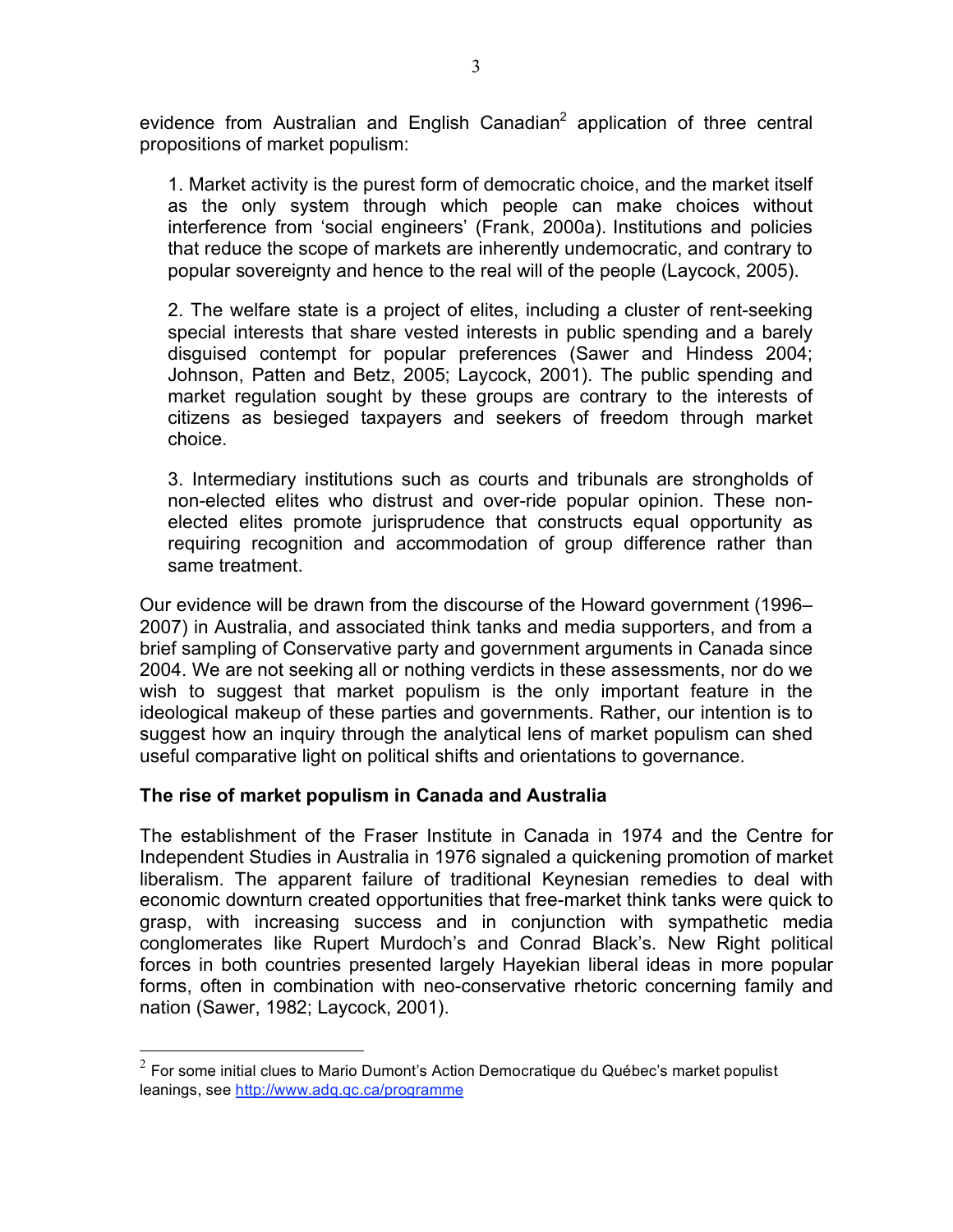evidence from Australian and English Canadian<sup>2</sup> application of three central propositions of market populism:

1. Market activity is the purest form of democratic choice, and the market itself as the only system through which people can make choices without interference from 'social engineers' (Frank, 2000a). Institutions and policies that reduce the scope of markets are inherently undemocratic, and contrary to popular sovereignty and hence to the real will of the people (Laycock, 2005).

2. The welfare state is a project of elites, including a cluster of rent-seeking special interests that share vested interests in public spending and a barely disguised contempt for popular preferences (Sawer and Hindess 2004; Johnson, Patten and Betz, 2005; Laycock, 2001). The public spending and market regulation sought by these groups are contrary to the interests of citizens as besieged taxpayers and seekers of freedom through market choice.

3. Intermediary institutions such as courts and tribunals are strongholds of non-elected elites who distrust and over-ride popular opinion. These nonelected elites promote jurisprudence that constructs equal opportunity as requiring recognition and accommodation of group difference rather than same treatment.

Our evidence will be drawn from the discourse of the Howard government (1996– 2007) in Australia, and associated think tanks and media supporters, and from a brief sampling of Conservative party and government arguments in Canada since 2004. We are not seeking all or nothing verdicts in these assessments, nor do we wish to suggest that market populism is the only important feature in the ideological makeup of these parties and governments. Rather, our intention is to suggest how an inquiry through the analytical lens of market populism can shed useful comparative light on political shifts and orientations to governance.

## **The rise of market populism in Canada and Australia**

The establishment of the Fraser Institute in Canada in 1974 and the Centre for Independent Studies in Australia in 1976 signaled a quickening promotion of market liberalism. The apparent failure of traditional Keynesian remedies to deal with economic downturn created opportunities that free-market think tanks were quick to grasp, with increasing success and in conjunction with sympathetic media conglomerates like Rupert Murdoch's and Conrad Black's. New Right political forces in both countries presented largely Hayekian liberal ideas in more popular forms, often in combination with neo-conservative rhetoric concerning family and nation (Sawer, 1982; Laycock, 2001).

 $2$  For some initial clues to Mario Dumont's Action Democratique du Québec's market populist leanings, see http://www.adq.qc.ca/programme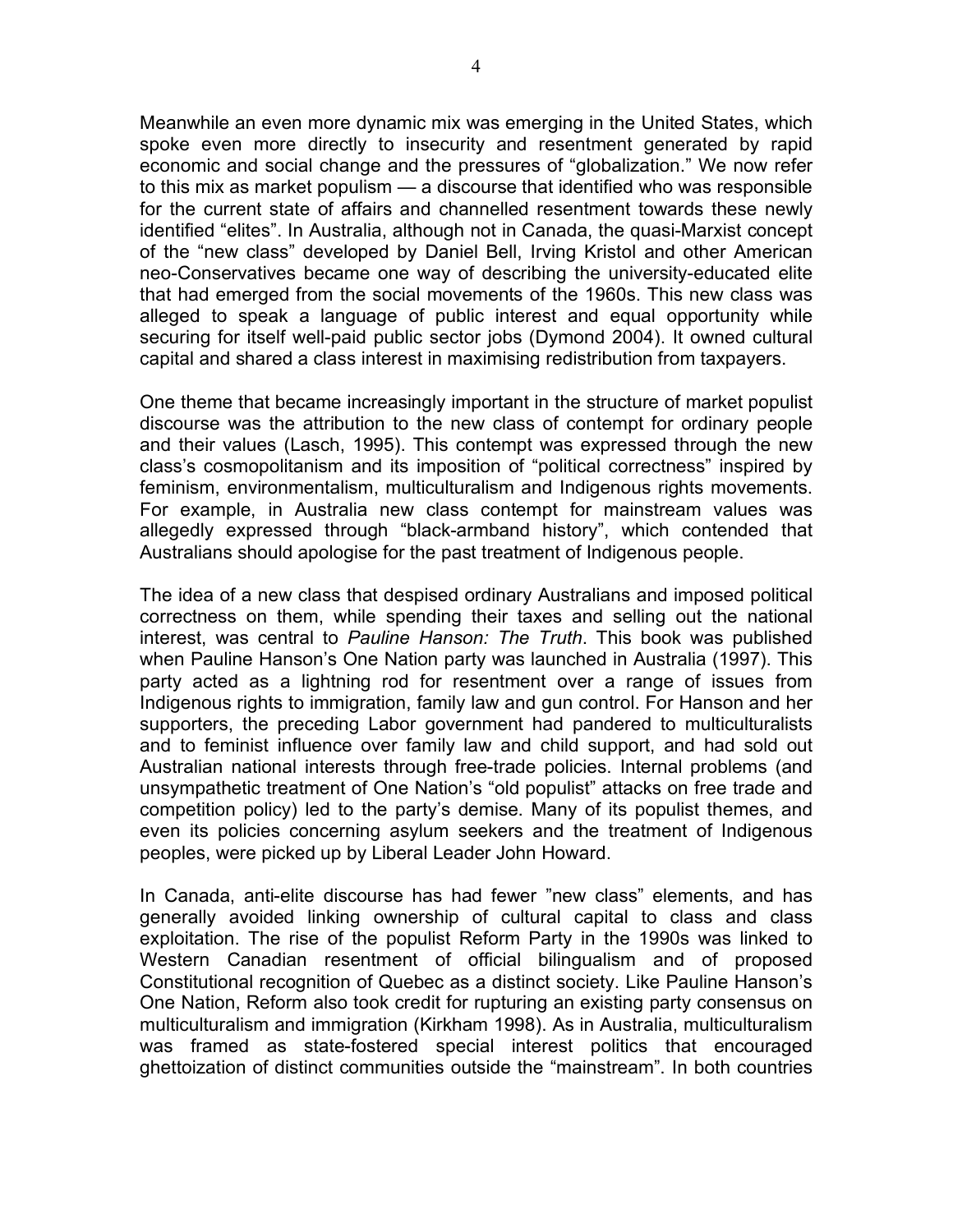Meanwhile an even more dynamic mix was emerging in the United States, which spoke even more directly to insecurity and resentment generated by rapid economic and social change and the pressures of "globalization." We now refer to this mix as market populism — a discourse that identified who was responsible for the current state of affairs and channelled resentment towards these newly identified "elites". In Australia, although not in Canada, the quasi-Marxist concept of the "new class" developed by Daniel Bell, Irving Kristol and other American neo-Conservatives became one way of describing the university-educated elite that had emerged from the social movements of the 1960s. This new class was alleged to speak a language of public interest and equal opportunity while securing for itself well-paid public sector jobs (Dymond 2004). It owned cultural capital and shared a class interest in maximising redistribution from taxpayers.

One theme that became increasingly important in the structure of market populist discourse was the attribution to the new class of contempt for ordinary people and their values (Lasch, 1995). This contempt was expressed through the new class's cosmopolitanism and its imposition of "political correctness" inspired by feminism, environmentalism, multiculturalism and Indigenous rights movements. For example, in Australia new class contempt for mainstream values was allegedly expressed through "black-armband history", which contended that Australians should apologise for the past treatment of Indigenous people.

The idea of a new class that despised ordinary Australians and imposed political correctness on them, while spending their taxes and selling out the national interest, was central to *Pauline Hanson: The Truth*. This book was published when Pauline Hanson's One Nation party was launched in Australia (1997). This party acted as a lightning rod for resentment over a range of issues from Indigenous rights to immigration, family law and gun control. For Hanson and her supporters, the preceding Labor government had pandered to multiculturalists and to feminist influence over family law and child support, and had sold out Australian national interests through free-trade policies. Internal problems (and unsympathetic treatment of One Nation's "old populist" attacks on free trade and competition policy) led to the party's demise. Many of its populist themes, and even its policies concerning asylum seekers and the treatment of Indigenous peoples, were picked up by Liberal Leader John Howard.

In Canada, anti-elite discourse has had fewer "new class" elements, and has generally avoided linking ownership of cultural capital to class and class exploitation. The rise of the populist Reform Party in the 1990s was linked to Western Canadian resentment of official bilingualism and of proposed Constitutional recognition of Quebec as a distinct society. Like Pauline Hanson's One Nation, Reform also took credit for rupturing an existing party consensus on multiculturalism and immigration (Kirkham 1998). As in Australia, multiculturalism was framed as state-fostered special interest politics that encouraged ghettoization of distinct communities outside the "mainstream". In both countries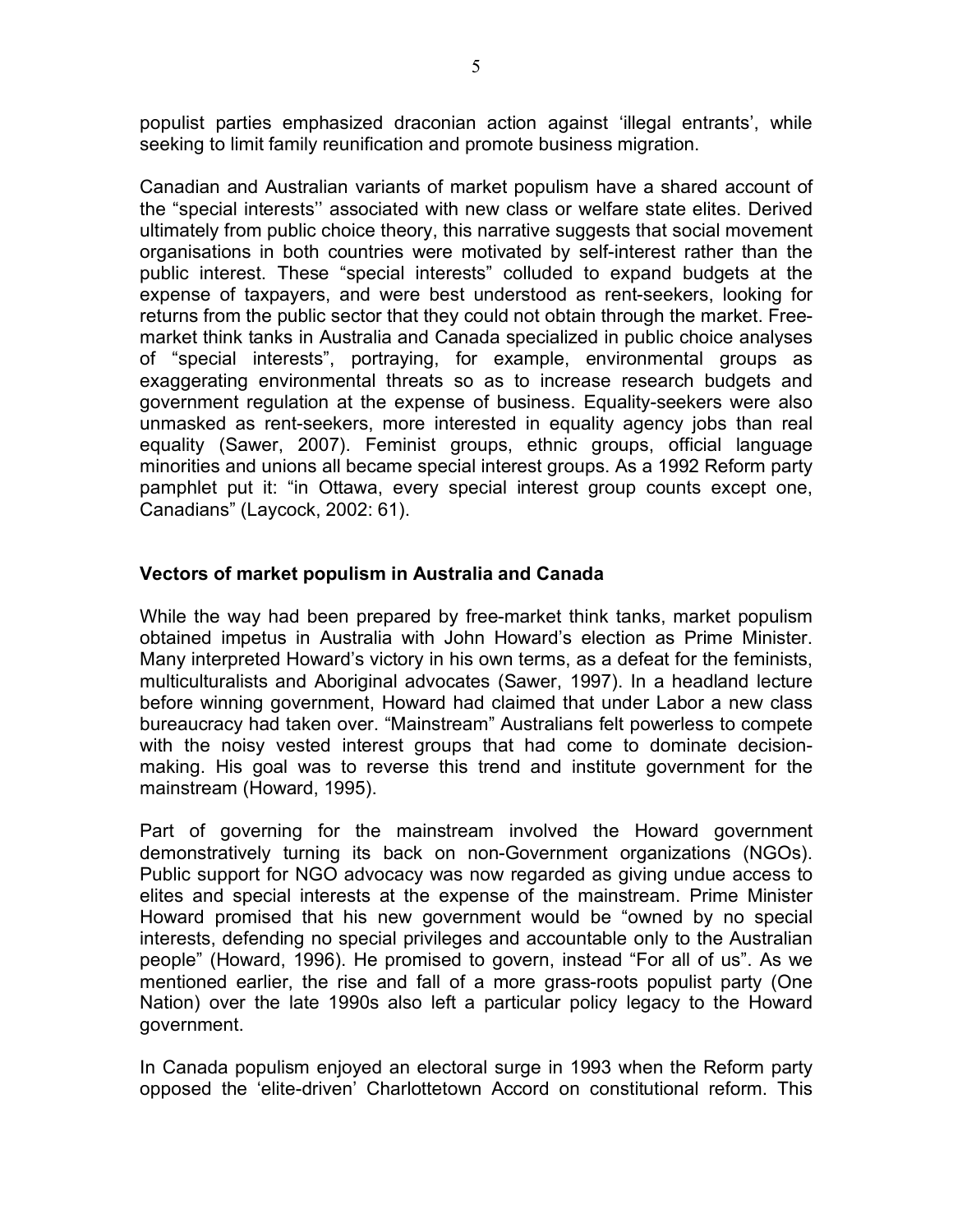populist parties emphasized draconian action against 'illegal entrants', while seeking to limit family reunification and promote business migration.

Canadian and Australian variants of market populism have a shared account of the "special interests'' associated with new class or welfare state elites. Derived ultimately from public choice theory, this narrative suggests that social movement organisations in both countries were motivated by self-interest rather than the public interest. These "special interests" colluded to expand budgets at the expense of taxpayers, and were best understood as rent-seekers, looking for returns from the public sector that they could not obtain through the market. Freemarket think tanks in Australia and Canada specialized in public choice analyses of "special interests", portraying, for example, environmental groups as exaggerating environmental threats so as to increase research budgets and government regulation at the expense of business. Equality-seekers were also unmasked as rent-seekers, more interested in equality agency jobs than real equality (Sawer, 2007). Feminist groups, ethnic groups, official language minorities and unions all became special interest groups. As a 1992 Reform party pamphlet put it: "in Ottawa, every special interest group counts except one, Canadians" (Laycock, 2002: 61).

#### **Vectors of market populism in Australia and Canada**

While the way had been prepared by free-market think tanks, market populism obtained impetus in Australia with John Howard's election as Prime Minister. Many interpreted Howard's victory in his own terms, as a defeat for the feminists, multiculturalists and Aboriginal advocates (Sawer, 1997). In a headland lecture before winning government, Howard had claimed that under Labor a new class bureaucracy had taken over. "Mainstream" Australians felt powerless to compete with the noisy vested interest groups that had come to dominate decisionmaking. His goal was to reverse this trend and institute government for the mainstream (Howard, 1995).

Part of governing for the mainstream involved the Howard government demonstratively turning its back on non-Government organizations (NGOs). Public support for NGO advocacy was now regarded as giving undue access to elites and special interests at the expense of the mainstream. Prime Minister Howard promised that his new government would be "owned by no special interests, defending no special privileges and accountable only to the Australian people" (Howard, 1996). He promised to govern, instead "For all of us". As we mentioned earlier, the rise and fall of a more grass-roots populist party (One Nation) over the late 1990s also left a particular policy legacy to the Howard government.

In Canada populism enjoyed an electoral surge in 1993 when the Reform party opposed the 'elite-driven' Charlottetown Accord on constitutional reform. This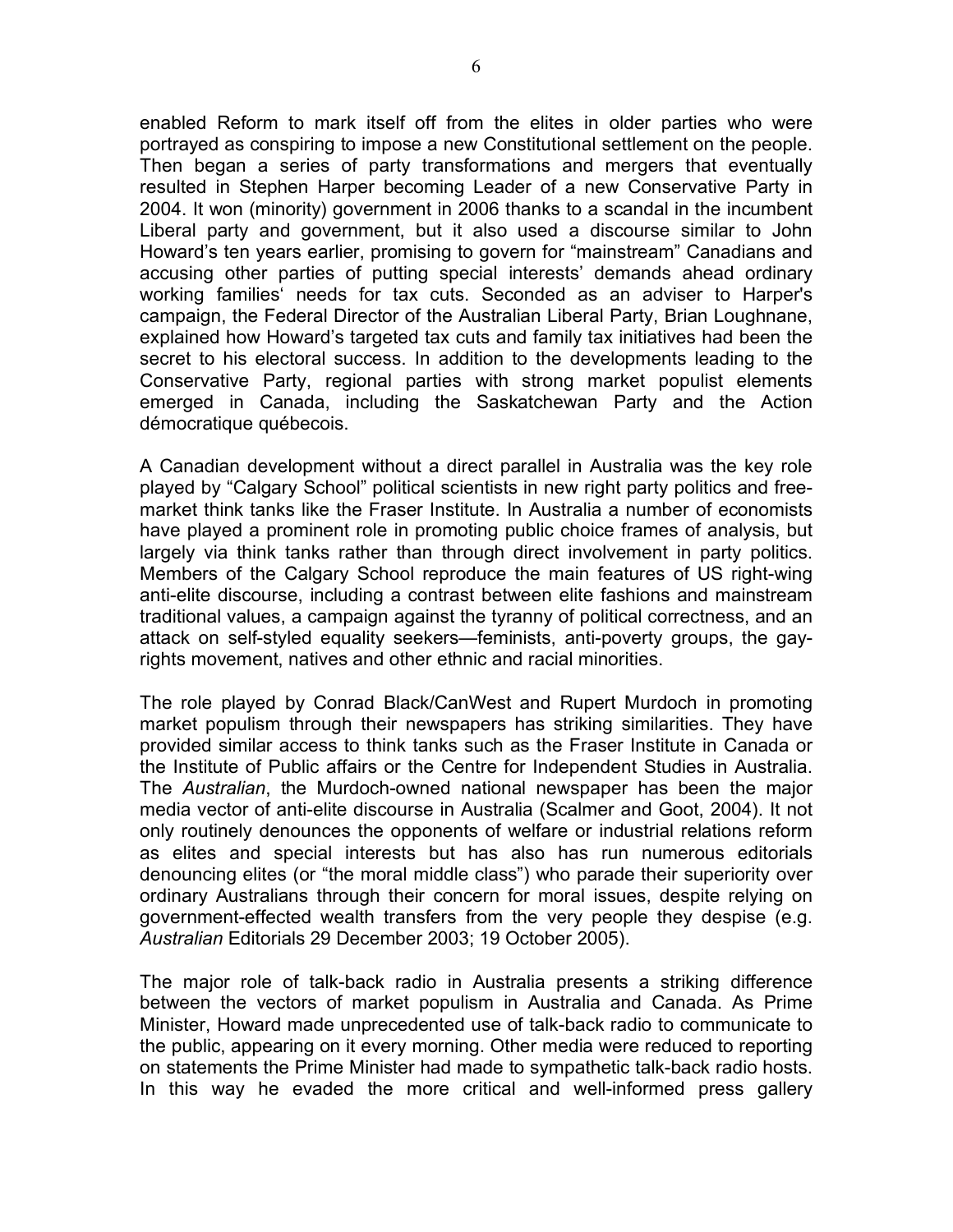enabled Reform to mark itself off from the elites in older parties who were portrayed as conspiring to impose a new Constitutional settlement on the people. Then began a series of party transformations and mergers that eventually resulted in Stephen Harper becoming Leader of a new Conservative Party in 2004. It won (minority) government in 2006 thanks to a scandal in the incumbent Liberal party and government, but it also used a discourse similar to John Howard's ten years earlier, promising to govern for "mainstream" Canadians and accusing other parties of putting special interests' demands ahead ordinary working families' needs for tax cuts. Seconded as an adviser to Harper's campaign, the Federal Director of the Australian Liberal Party, Brian Loughnane, explained how Howard's targeted tax cuts and family tax initiatives had been the secret to his electoral success. In addition to the developments leading to the Conservative Party, regional parties with strong market populist elements emerged in Canada, including the Saskatchewan Party and the Action démocratique québecois.

A Canadian development without a direct parallel in Australia was the key role played by "Calgary School" political scientists in new right party politics and freemarket think tanks like the Fraser Institute. In Australia a number of economists have played a prominent role in promoting public choice frames of analysis, but largely via think tanks rather than through direct involvement in party politics. Members of the Calgary School reproduce the main features of US right-wing anti-elite discourse, including a contrast between elite fashions and mainstream traditional values, a campaign against the tyranny of political correctness, and an attack on self-styled equality seekers—feminists, anti-poverty groups, the gayrights movement, natives and other ethnic and racial minorities.

The role played by Conrad Black/CanWest and Rupert Murdoch in promoting market populism through their newspapers has striking similarities. They have provided similar access to think tanks such as the Fraser Institute in Canada or the Institute of Public affairs or the Centre for Independent Studies in Australia. The *Australian*, the Murdoch-owned national newspaper has been the major media vector of anti-elite discourse in Australia (Scalmer and Goot, 2004). It not only routinely denounces the opponents of welfare or industrial relations reform as elites and special interests but has also has run numerous editorials denouncing elites (or "the moral middle class") who parade their superiority over ordinary Australians through their concern for moral issues, despite relying on government-effected wealth transfers from the very people they despise (e.g. *Australian* Editorials 29 December 2003; 19 October 2005).

The major role of talk-back radio in Australia presents a striking difference between the vectors of market populism in Australia and Canada. As Prime Minister, Howard made unprecedented use of talk-back radio to communicate to the public, appearing on it every morning. Other media were reduced to reporting on statements the Prime Minister had made to sympathetic talk-back radio hosts. In this way he evaded the more critical and well-informed press gallery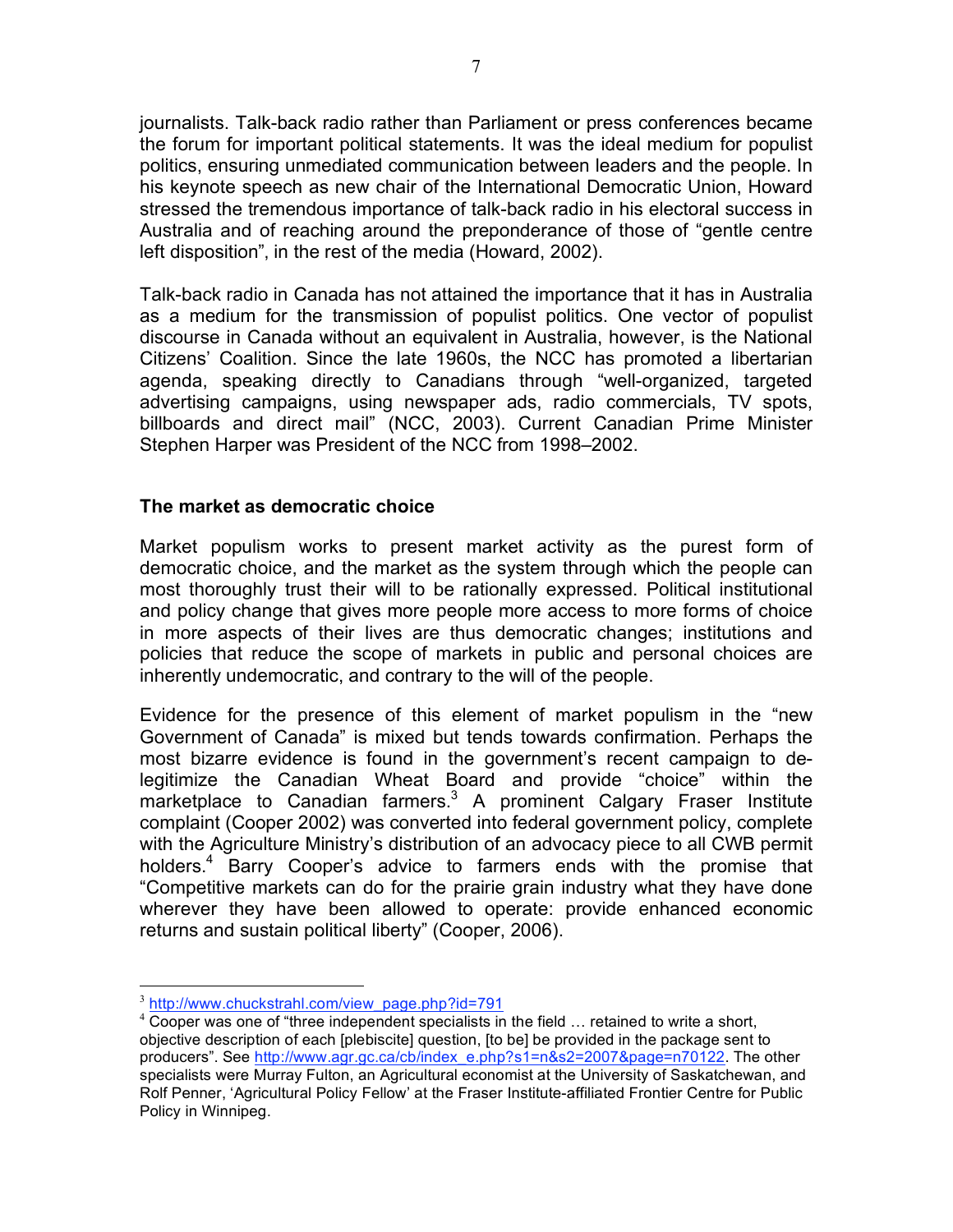journalists. Talk-back radio rather than Parliament or press conferences became the forum for important political statements. It was the ideal medium for populist politics, ensuring unmediated communication between leaders and the people. In his keynote speech as new chair of the International Democratic Union, Howard stressed the tremendous importance of talk-back radio in his electoral success in Australia and of reaching around the preponderance of those of "gentle centre left disposition", in the rest of the media (Howard, 2002).

Talk-back radio in Canada has not attained the importance that it has in Australia as a medium for the transmission of populist politics. One vector of populist discourse in Canada without an equivalent in Australia, however, is the National Citizens' Coalition. Since the late 1960s, the NCC has promoted a libertarian agenda, speaking directly to Canadians through "well-organized, targeted advertising campaigns, using newspaper ads, radio commercials, TV spots, billboards and direct mail" (NCC, 2003). Current Canadian Prime Minister Stephen Harper was President of the NCC from 1998–2002.

#### **The market as democratic choice**

Market populism works to present market activity as the purest form of democratic choice, and the market as the system through which the people can most thoroughly trust their will to be rationally expressed. Political institutional and policy change that gives more people more access to more forms of choice in more aspects of their lives are thus democratic changes; institutions and policies that reduce the scope of markets in public and personal choices are inherently undemocratic, and contrary to the will of the people.

Evidence for the presence of this element of market populism in the "new Government of Canada" is mixed but tends towards confirmation. Perhaps the most bizarre evidence is found in the government's recent campaign to delegitimize the Canadian Wheat Board and provide "choice" within the marketplace to Canadian farmers.<sup>3</sup> A prominent Calgary Fraser Institute complaint (Cooper 2002) was converted into federal government policy, complete with the Agriculture Ministry's distribution of an advocacy piece to all CWB permit holders.<sup>4</sup> Barry Cooper's advice to farmers ends with the promise that "Competitive markets can do for the prairie grain industry what they have done wherever they have been allowed to operate: provide enhanced economic returns and sustain political liberty" (Cooper, 2006).

 $\frac{3}{4}$  http://www.chuckstrahl.com/view\_page.php?id=791  $\frac{4}{4}$  Cooper was one of "three independent specialists in the field … retained to write a short, objective description of each [plebiscite] question, [to be] be provided in the package sent to producers". See http://www.agr.gc.ca/cb/index\_e.php?s1=n&s2=2007&page=n70122. The other specialists were Murray Fulton, an Agricultural economist at the University of Saskatchewan, and Rolf Penner, 'Agricultural Policy Fellow' at the Fraser Institute-affiliated Frontier Centre for Public Policy in Winnipeg.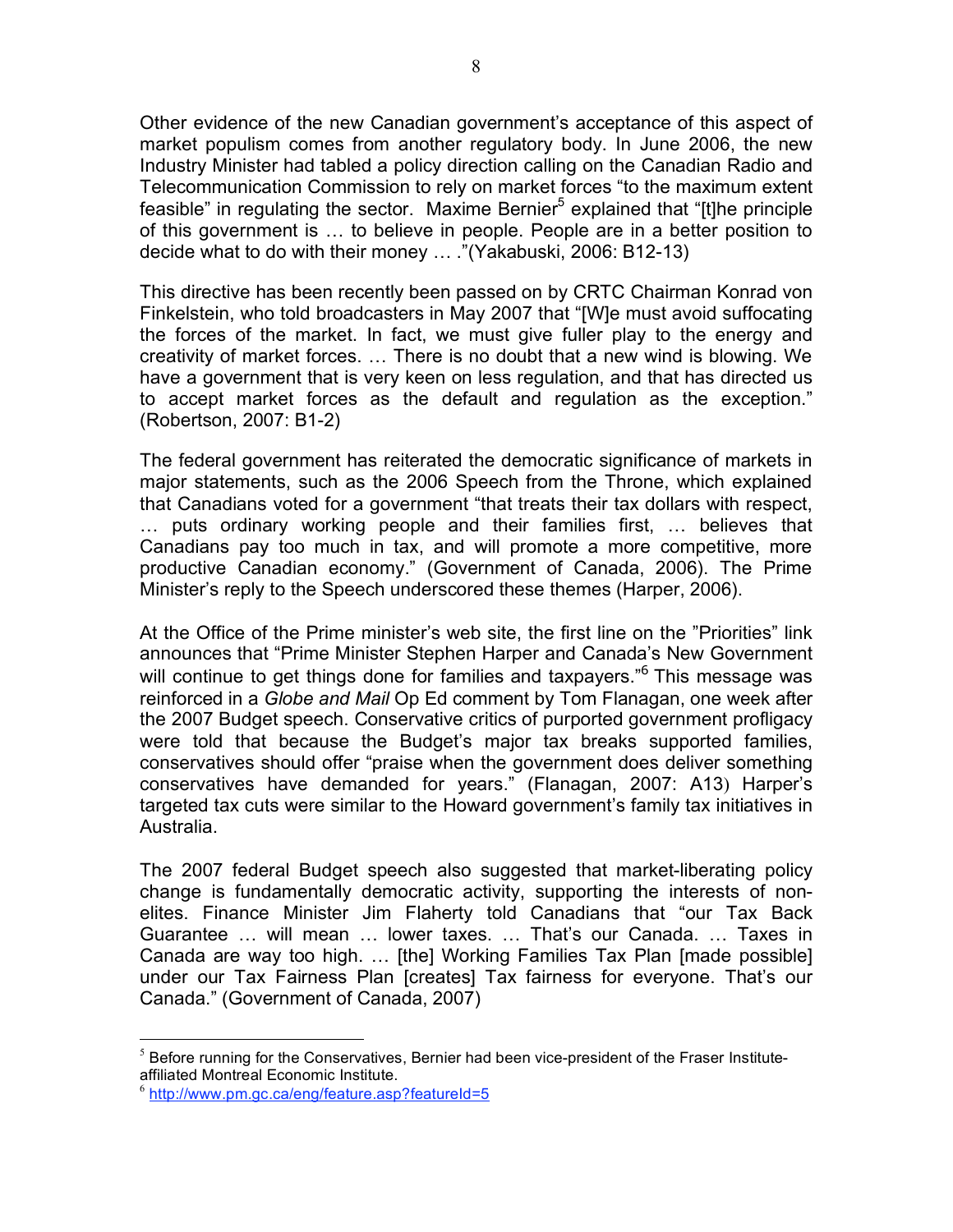Other evidence of the new Canadian government's acceptance of this aspect of market populism comes from another regulatory body. In June 2006, the new Industry Minister had tabled a policy direction calling on the Canadian Radio and Telecommunication Commission to rely on market forces "to the maximum extent feasible" in regulating the sector. Maxime Bernier<sup>5</sup> explained that "[t]he principle of this government is … to believe in people. People are in a better position to decide what to do with their money … ."(Yakabuski, 2006: B12-13)

This directive has been recently been passed on by CRTC Chairman Konrad von Finkelstein, who told broadcasters in May 2007 that "[W]e must avoid suffocating the forces of the market. In fact, we must give fuller play to the energy and creativity of market forces. … There is no doubt that a new wind is blowing. We have a government that is very keen on less regulation, and that has directed us to accept market forces as the default and regulation as the exception." (Robertson, 2007: B1-2)

The federal government has reiterated the democratic significance of markets in major statements, such as the 2006 Speech from the Throne, which explained that Canadians voted for a government "that treats their tax dollars with respect, … puts ordinary working people and their families first, … believes that Canadians pay too much in tax, and will promote a more competitive, more productive Canadian economy." (Government of Canada, 2006). The Prime Minister's reply to the Speech underscored these themes (Harper, 2006).

At the Office of the Prime minister's web site, the first line on the "Priorities" link announces that "Prime Minister Stephen Harper and Canada's New Government will continue to get things done for families and taxpayers."<sup>6</sup> This message was reinforced in a *Globe and Mail* Op Ed comment by Tom Flanagan, one week after the 2007 Budget speech. Conservative critics of purported government profligacy were told that because the Budget's major tax breaks supported families, conservatives should offer "praise when the government does deliver something conservatives have demanded for years." (Flanagan, 2007: A13) Harper's targeted tax cuts were similar to the Howard government's family tax initiatives in Australia.

The 2007 federal Budget speech also suggested that market-liberating policy change is fundamentally democratic activity, supporting the interests of nonelites. Finance Minister Jim Flaherty told Canadians that "our Tax Back Guarantee … will mean … lower taxes. … That's our Canada. … Taxes in Canada are way too high. … [the] Working Families Tax Plan [made possible] under our Tax Fairness Plan [creates] Tax fairness for everyone. That's our Canada." (Government of Canada, 2007)

 $<sup>5</sup>$  Before running for the Conservatives, Bernier had been vice-president of the Fraser Institute-</sup> affiliated Montreal Economic Institute.

 $6$  http://www.pm.gc.ca/eng/feature.asp?featureId=5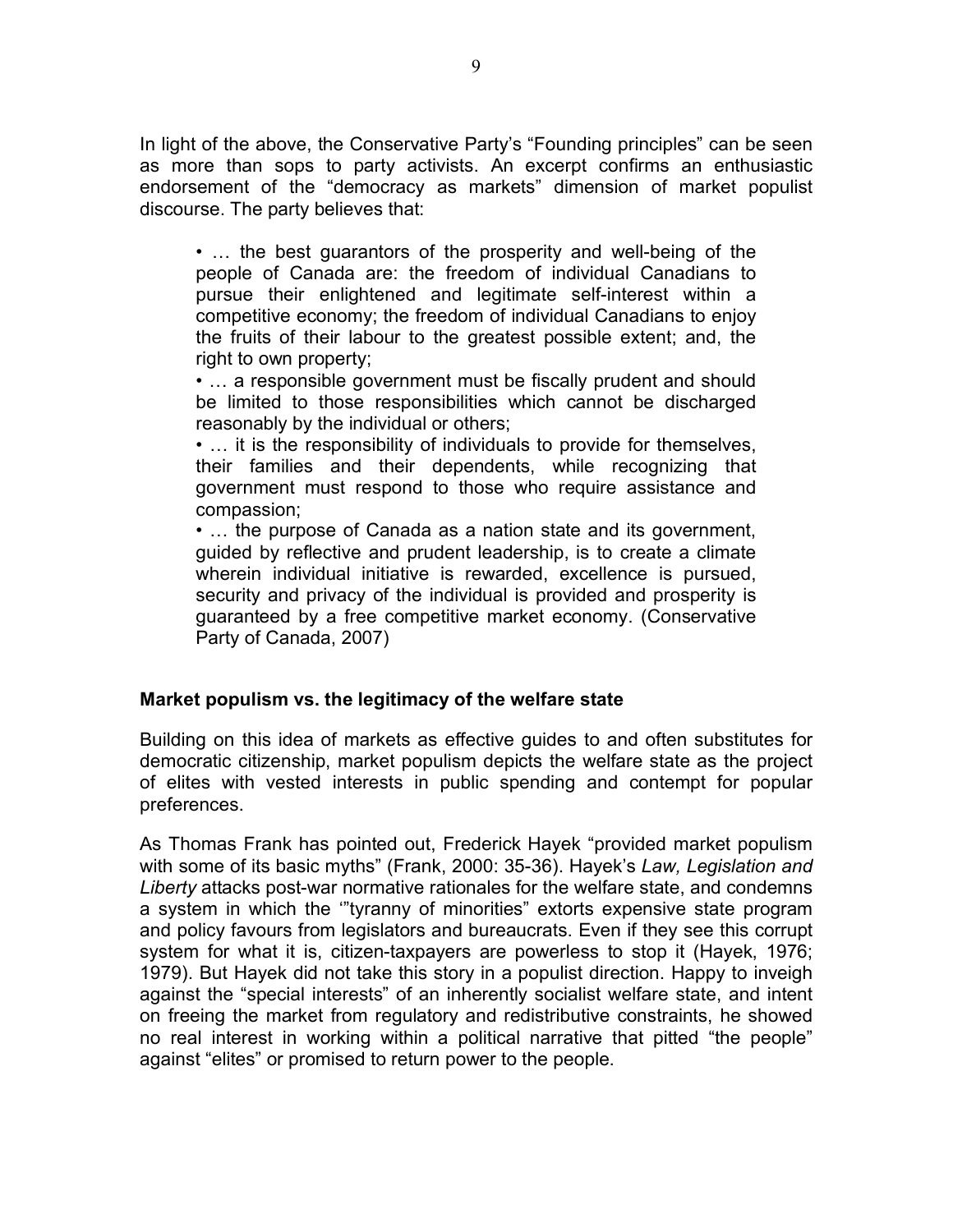In light of the above, the Conservative Party's "Founding principles" can be seen as more than sops to party activists. An excerpt confirms an enthusiastic endorsement of the "democracy as markets" dimension of market populist discourse. The party believes that:

• … the best guarantors of the prosperity and well-being of the people of Canada are: the freedom of individual Canadians to pursue their enlightened and legitimate self-interest within a competitive economy; the freedom of individual Canadians to enjoy the fruits of their labour to the greatest possible extent; and, the right to own property;

• … a responsible government must be fiscally prudent and should be limited to those responsibilities which cannot be discharged reasonably by the individual or others;

• … it is the responsibility of individuals to provide for themselves, their families and their dependents, while recognizing that government must respond to those who require assistance and compassion;

• … the purpose of Canada as a nation state and its government, guided by reflective and prudent leadership, is to create a climate wherein individual initiative is rewarded, excellence is pursued, security and privacy of the individual is provided and prosperity is guaranteed by a free competitive market economy. (Conservative Party of Canada, 2007)

#### **Market populism vs. the legitimacy of the welfare state**

Building on this idea of markets as effective guides to and often substitutes for democratic citizenship, market populism depicts the welfare state as the project of elites with vested interests in public spending and contempt for popular preferences.

As Thomas Frank has pointed out, Frederick Hayek "provided market populism with some of its basic myths" (Frank, 2000: 35-36). Hayek's *Law, Legislation and Liberty* attacks post-war normative rationales for the welfare state, and condemns a system in which the '"tyranny of minorities" extorts expensive state program and policy favours from legislators and bureaucrats. Even if they see this corrupt system for what it is, citizen-taxpayers are powerless to stop it (Hayek, 1976; 1979). But Hayek did not take this story in a populist direction. Happy to inveigh against the "special interests" of an inherently socialist welfare state, and intent on freeing the market from regulatory and redistributive constraints, he showed no real interest in working within a political narrative that pitted "the people" against "elites" or promised to return power to the people.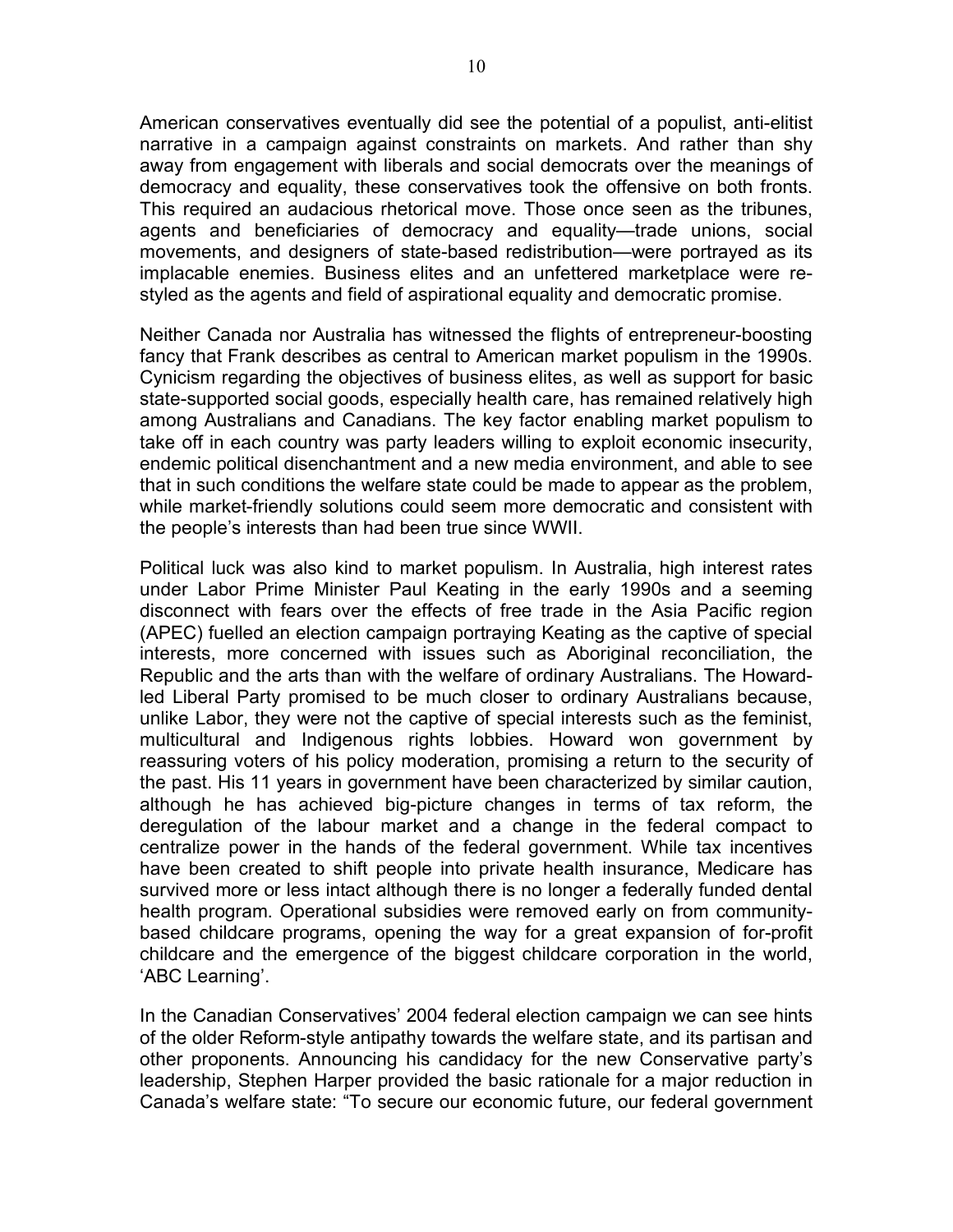American conservatives eventually did see the potential of a populist, anti-elitist narrative in a campaign against constraints on markets. And rather than shy away from engagement with liberals and social democrats over the meanings of democracy and equality, these conservatives took the offensive on both fronts. This required an audacious rhetorical move. Those once seen as the tribunes, agents and beneficiaries of democracy and equality—trade unions, social movements, and designers of state-based redistribution—were portrayed as its implacable enemies. Business elites and an unfettered marketplace were restyled as the agents and field of aspirational equality and democratic promise.

Neither Canada nor Australia has witnessed the flights of entrepreneur-boosting fancy that Frank describes as central to American market populism in the 1990s. Cynicism regarding the objectives of business elites, as well as support for basic state-supported social goods, especially health care, has remained relatively high among Australians and Canadians. The key factor enabling market populism to take off in each country was party leaders willing to exploit economic insecurity, endemic political disenchantment and a new media environment, and able to see that in such conditions the welfare state could be made to appear as the problem, while market-friendly solutions could seem more democratic and consistent with the people's interests than had been true since WWII.

Political luck was also kind to market populism. In Australia, high interest rates under Labor Prime Minister Paul Keating in the early 1990s and a seeming disconnect with fears over the effects of free trade in the Asia Pacific region (APEC) fuelled an election campaign portraying Keating as the captive of special interests, more concerned with issues such as Aboriginal reconciliation, the Republic and the arts than with the welfare of ordinary Australians. The Howardled Liberal Party promised to be much closer to ordinary Australians because, unlike Labor, they were not the captive of special interests such as the feminist, multicultural and Indigenous rights lobbies. Howard won government by reassuring voters of his policy moderation, promising a return to the security of the past. His 11 years in government have been characterized by similar caution, although he has achieved big-picture changes in terms of tax reform, the deregulation of the labour market and a change in the federal compact to centralize power in the hands of the federal government. While tax incentives have been created to shift people into private health insurance, Medicare has survived more or less intact although there is no longer a federally funded dental health program. Operational subsidies were removed early on from communitybased childcare programs, opening the way for a great expansion of for-profit childcare and the emergence of the biggest childcare corporation in the world, 'ABC Learning'.

In the Canadian Conservatives' 2004 federal election campaign we can see hints of the older Reform-style antipathy towards the welfare state, and its partisan and other proponents. Announcing his candidacy for the new Conservative party's leadership, Stephen Harper provided the basic rationale for a major reduction in Canada's welfare state: "To secure our economic future, our federal government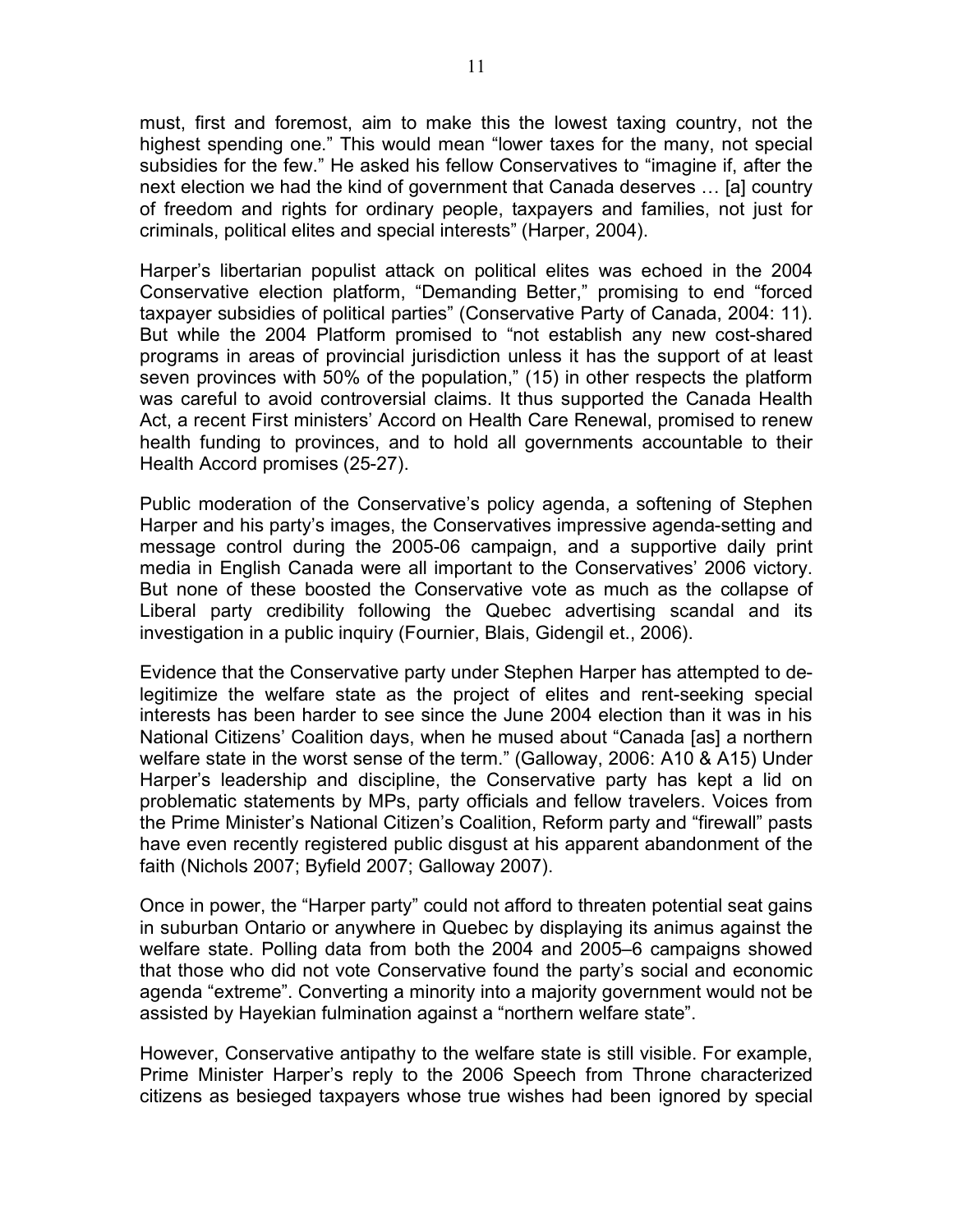must, first and foremost, aim to make this the lowest taxing country, not the highest spending one." This would mean "lower taxes for the many, not special subsidies for the few." He asked his fellow Conservatives to "imagine if, after the next election we had the kind of government that Canada deserves … [a] country of freedom and rights for ordinary people, taxpayers and families, not just for criminals, political elites and special interests" (Harper, 2004).

Harper's libertarian populist attack on political elites was echoed in the 2004 Conservative election platform, "Demanding Better," promising to end "forced taxpayer subsidies of political parties" (Conservative Party of Canada, 2004: 11). But while the 2004 Platform promised to "not establish any new cost-shared programs in areas of provincial jurisdiction unless it has the support of at least seven provinces with 50% of the population," (15) in other respects the platform was careful to avoid controversial claims. It thus supported the Canada Health Act, a recent First ministers' Accord on Health Care Renewal, promised to renew health funding to provinces, and to hold all governments accountable to their Health Accord promises (25-27).

Public moderation of the Conservative's policy agenda, a softening of Stephen Harper and his party's images, the Conservatives impressive agenda-setting and message control during the 2005-06 campaign, and a supportive daily print media in English Canada were all important to the Conservatives' 2006 victory. But none of these boosted the Conservative vote as much as the collapse of Liberal party credibility following the Quebec advertising scandal and its investigation in a public inquiry (Fournier, Blais, Gidengil et., 2006).

Evidence that the Conservative party under Stephen Harper has attempted to delegitimize the welfare state as the project of elites and rent-seeking special interests has been harder to see since the June 2004 election than it was in his National Citizens' Coalition days, when he mused about "Canada [as] a northern welfare state in the worst sense of the term." (Galloway, 2006: A10 & A15) Under Harper's leadership and discipline, the Conservative party has kept a lid on problematic statements by MPs, party officials and fellow travelers. Voices from the Prime Minister's National Citizen's Coalition, Reform party and "firewall" pasts have even recently registered public disgust at his apparent abandonment of the faith (Nichols 2007; Byfield 2007; Galloway 2007).

Once in power, the "Harper party" could not afford to threaten potential seat gains in suburban Ontario or anywhere in Quebec by displaying its animus against the welfare state. Polling data from both the 2004 and 2005–6 campaigns showed that those who did not vote Conservative found the party's social and economic agenda "extreme". Converting a minority into a majority government would not be assisted by Hayekian fulmination against a "northern welfare state".

However, Conservative antipathy to the welfare state is still visible. For example, Prime Minister Harper's reply to the 2006 Speech from Throne characterized citizens as besieged taxpayers whose true wishes had been ignored by special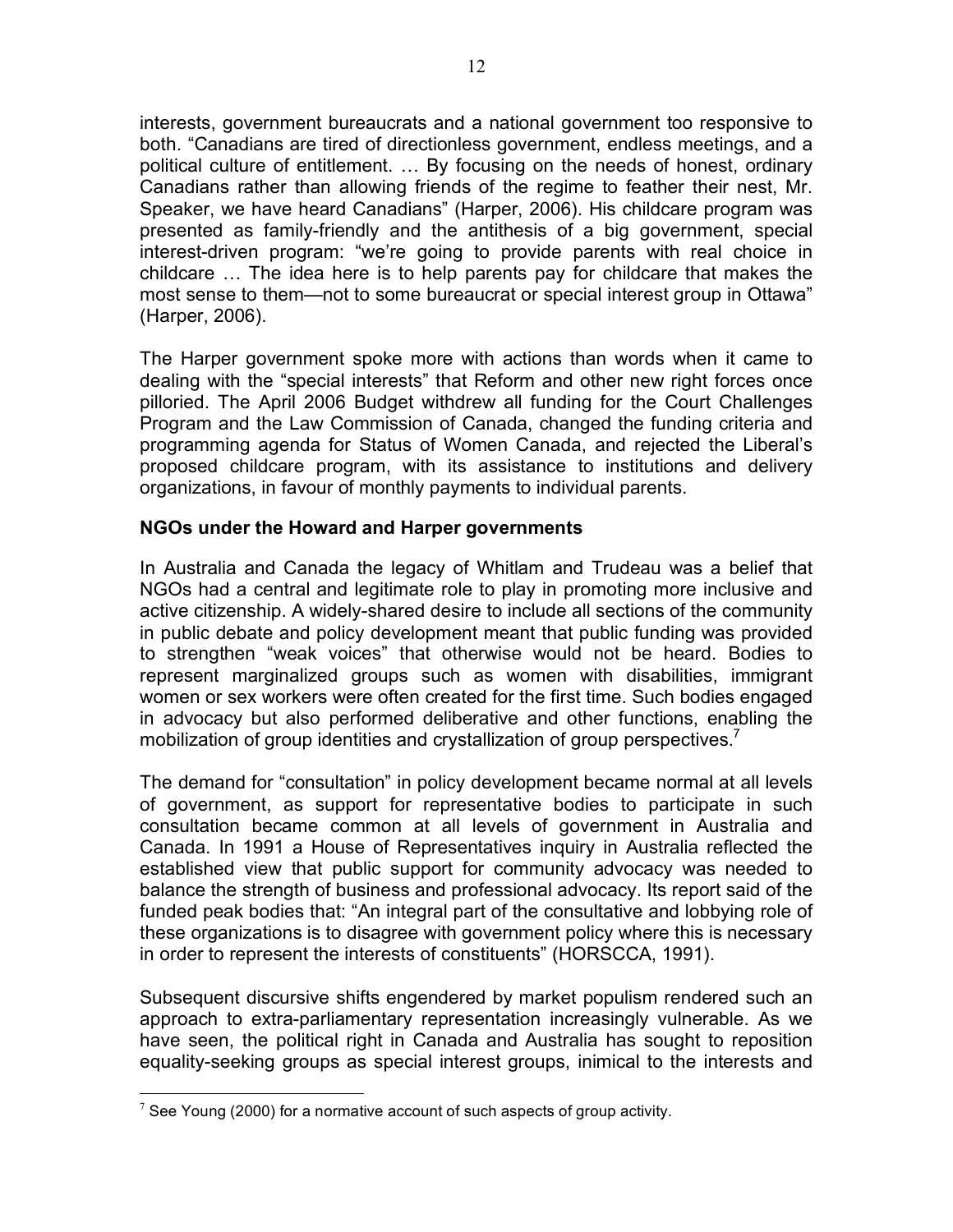interests, government bureaucrats and a national government too responsive to both. "Canadians are tired of directionless government, endless meetings, and a political culture of entitlement. … By focusing on the needs of honest, ordinary Canadians rather than allowing friends of the regime to feather their nest, Mr. Speaker, we have heard Canadians" (Harper, 2006). His childcare program was presented as family-friendly and the antithesis of a big government, special interest-driven program: "we're going to provide parents with real choice in childcare … The idea here is to help parents pay for childcare that makes the most sense to them—not to some bureaucrat or special interest group in Ottawa" (Harper, 2006).

The Harper government spoke more with actions than words when it came to dealing with the "special interests" that Reform and other new right forces once pilloried. The April 2006 Budget withdrew all funding for the Court Challenges Program and the Law Commission of Canada, changed the funding criteria and programming agenda for Status of Women Canada, and rejected the Liberal's proposed childcare program, with its assistance to institutions and delivery organizations, in favour of monthly payments to individual parents.

#### **NGOs under the Howard and Harper governments**

In Australia and Canada the legacy of Whitlam and Trudeau was a belief that NGOs had a central and legitimate role to play in promoting more inclusive and active citizenship. A widely-shared desire to include all sections of the community in public debate and policy development meant that public funding was provided to strengthen "weak voices" that otherwise would not be heard. Bodies to represent marginalized groups such as women with disabilities, immigrant women or sex workers were often created for the first time. Such bodies engaged in advocacy but also performed deliberative and other functions, enabling the mobilization of group identities and crystallization of group perspectives.<sup>7</sup>

The demand for "consultation" in policy development became normal at all levels of government, as support for representative bodies to participate in such consultation became common at all levels of government in Australia and Canada. In 1991 a House of Representatives inquiry in Australia reflected the established view that public support for community advocacy was needed to balance the strength of business and professional advocacy. Its report said of the funded peak bodies that: "An integral part of the consultative and lobbying role of these organizations is to disagree with government policy where this is necessary in order to represent the interests of constituents" (HORSCCA, 1991).

Subsequent discursive shifts engendered by market populism rendered such an approach to extra-parliamentary representation increasingly vulnerable. As we have seen, the political right in Canada and Australia has sought to reposition equality-seeking groups as special interest groups, inimical to the interests and

 $7$  See Young (2000) for a normative account of such aspects of group activity.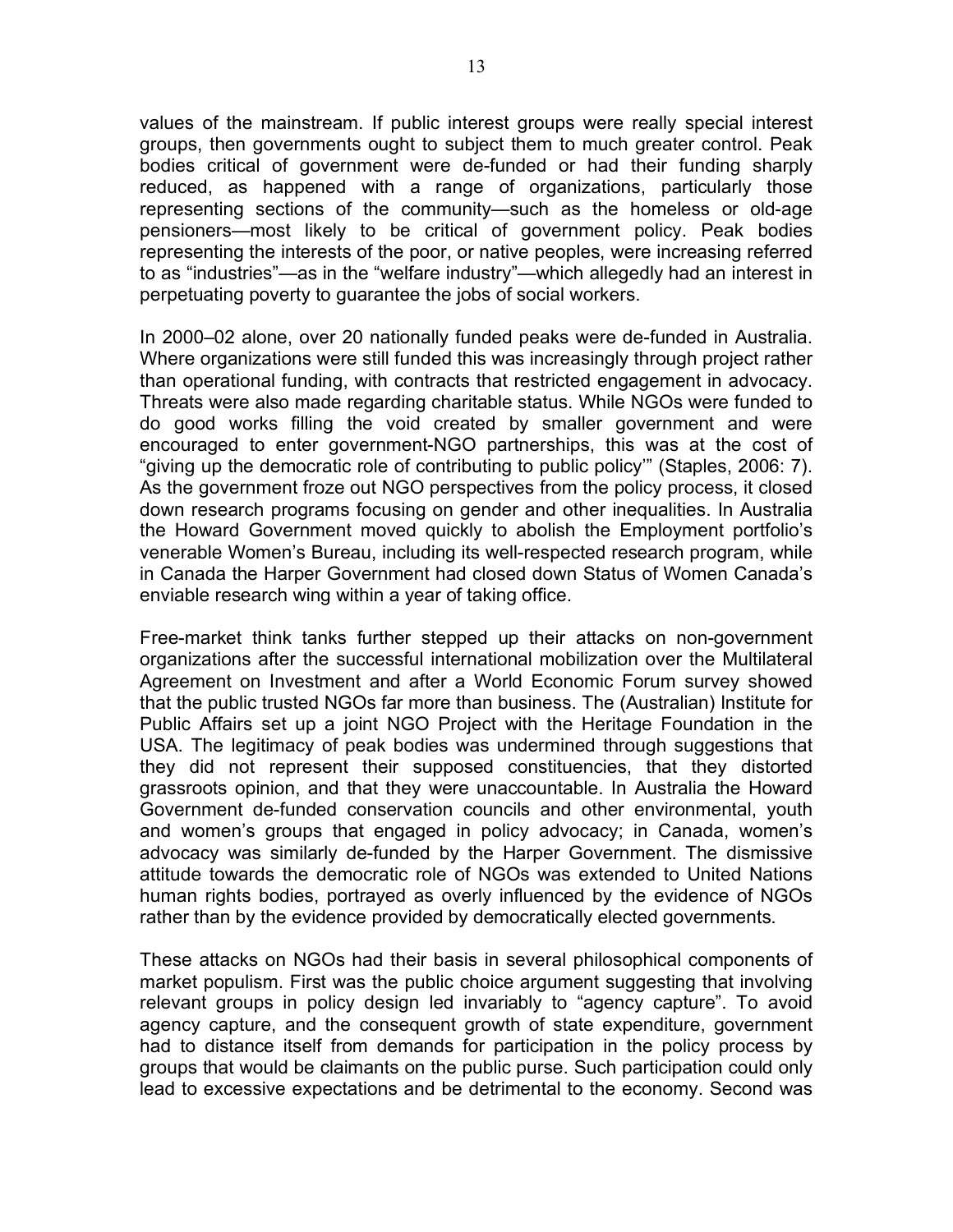values of the mainstream. If public interest groups were really special interest groups, then governments ought to subject them to much greater control. Peak bodies critical of government were de-funded or had their funding sharply reduced, as happened with a range of organizations, particularly those representing sections of the community—such as the homeless or old-age pensioners—most likely to be critical of government policy. Peak bodies representing the interests of the poor, or native peoples, were increasing referred to as "industries"—as in the "welfare industry"—which allegedly had an interest in perpetuating poverty to guarantee the jobs of social workers.

In 2000–02 alone, over 20 nationally funded peaks were de-funded in Australia. Where organizations were still funded this was increasingly through project rather than operational funding, with contracts that restricted engagement in advocacy. Threats were also made regarding charitable status. While NGOs were funded to do good works filling the void created by smaller government and were encouraged to enter government-NGO partnerships, this was at the cost of "giving up the democratic role of contributing to public policy'" (Staples, 2006: 7). As the government froze out NGO perspectives from the policy process, it closed down research programs focusing on gender and other inequalities. In Australia the Howard Government moved quickly to abolish the Employment portfolio's venerable Women's Bureau, including its well-respected research program, while in Canada the Harper Government had closed down Status of Women Canada's enviable research wing within a year of taking office.

Free-market think tanks further stepped up their attacks on non-government organizations after the successful international mobilization over the Multilateral Agreement on Investment and after a World Economic Forum survey showed that the public trusted NGOs far more than business. The (Australian) Institute for Public Affairs set up a joint NGO Project with the Heritage Foundation in the USA. The legitimacy of peak bodies was undermined through suggestions that they did not represent their supposed constituencies, that they distorted grassroots opinion, and that they were unaccountable. In Australia the Howard Government de-funded conservation councils and other environmental, youth and women's groups that engaged in policy advocacy; in Canada, women's advocacy was similarly de-funded by the Harper Government. The dismissive attitude towards the democratic role of NGOs was extended to United Nations human rights bodies, portrayed as overly influenced by the evidence of NGOs rather than by the evidence provided by democratically elected governments.

These attacks on NGOs had their basis in several philosophical components of market populism. First was the public choice argument suggesting that involving relevant groups in policy design led invariably to "agency capture". To avoid agency capture, and the consequent growth of state expenditure, government had to distance itself from demands for participation in the policy process by groups that would be claimants on the public purse. Such participation could only lead to excessive expectations and be detrimental to the economy. Second was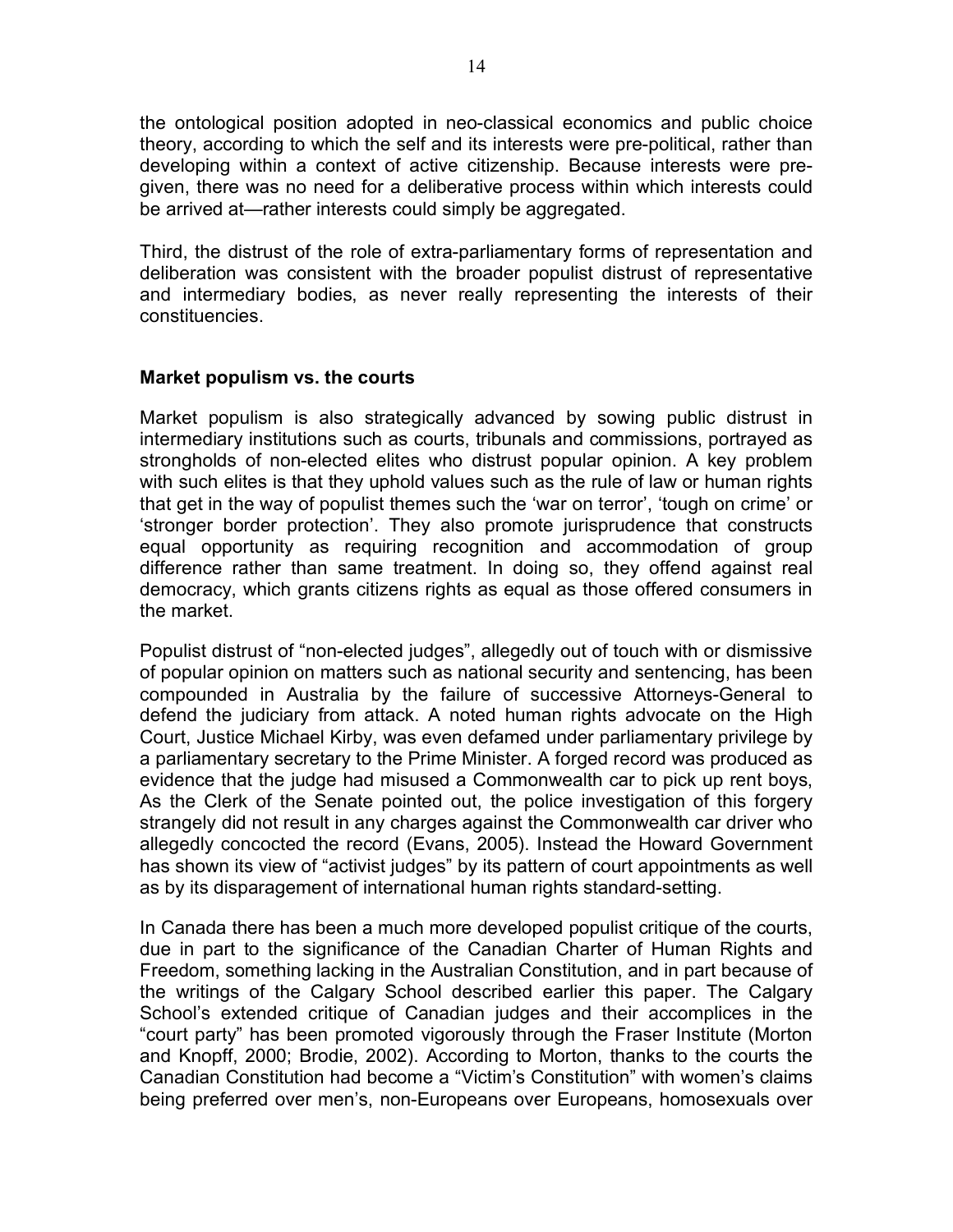the ontological position adopted in neo-classical economics and public choice theory, according to which the self and its interests were pre-political, rather than developing within a context of active citizenship. Because interests were pregiven, there was no need for a deliberative process within which interests could be arrived at—rather interests could simply be aggregated.

Third, the distrust of the role of extra-parliamentary forms of representation and deliberation was consistent with the broader populist distrust of representative and intermediary bodies, as never really representing the interests of their constituencies.

#### **Market populism vs. the courts**

Market populism is also strategically advanced by sowing public distrust in intermediary institutions such as courts, tribunals and commissions, portrayed as strongholds of non-elected elites who distrust popular opinion. A key problem with such elites is that they uphold values such as the rule of law or human rights that get in the way of populist themes such the 'war on terror', 'tough on crime' or 'stronger border protection'. They also promote jurisprudence that constructs equal opportunity as requiring recognition and accommodation of group difference rather than same treatment. In doing so, they offend against real democracy, which grants citizens rights as equal as those offered consumers in the market.

Populist distrust of "non-elected judges", allegedly out of touch with or dismissive of popular opinion on matters such as national security and sentencing, has been compounded in Australia by the failure of successive Attorneys-General to defend the judiciary from attack. A noted human rights advocate on the High Court, Justice Michael Kirby, was even defamed under parliamentary privilege by a parliamentary secretary to the Prime Minister. A forged record was produced as evidence that the judge had misused a Commonwealth car to pick up rent boys, As the Clerk of the Senate pointed out, the police investigation of this forgery strangely did not result in any charges against the Commonwealth car driver who allegedly concocted the record (Evans, 2005). Instead the Howard Government has shown its view of "activist judges" by its pattern of court appointments as well as by its disparagement of international human rights standard-setting.

In Canada there has been a much more developed populist critique of the courts, due in part to the significance of the Canadian Charter of Human Rights and Freedom, something lacking in the Australian Constitution, and in part because of the writings of the Calgary School described earlier this paper. The Calgary School's extended critique of Canadian judges and their accomplices in the "court party" has been promoted vigorously through the Fraser Institute (Morton and Knopff, 2000; Brodie, 2002). According to Morton, thanks to the courts the Canadian Constitution had become a "Victim's Constitution" with women's claims being preferred over men's, non-Europeans over Europeans, homosexuals over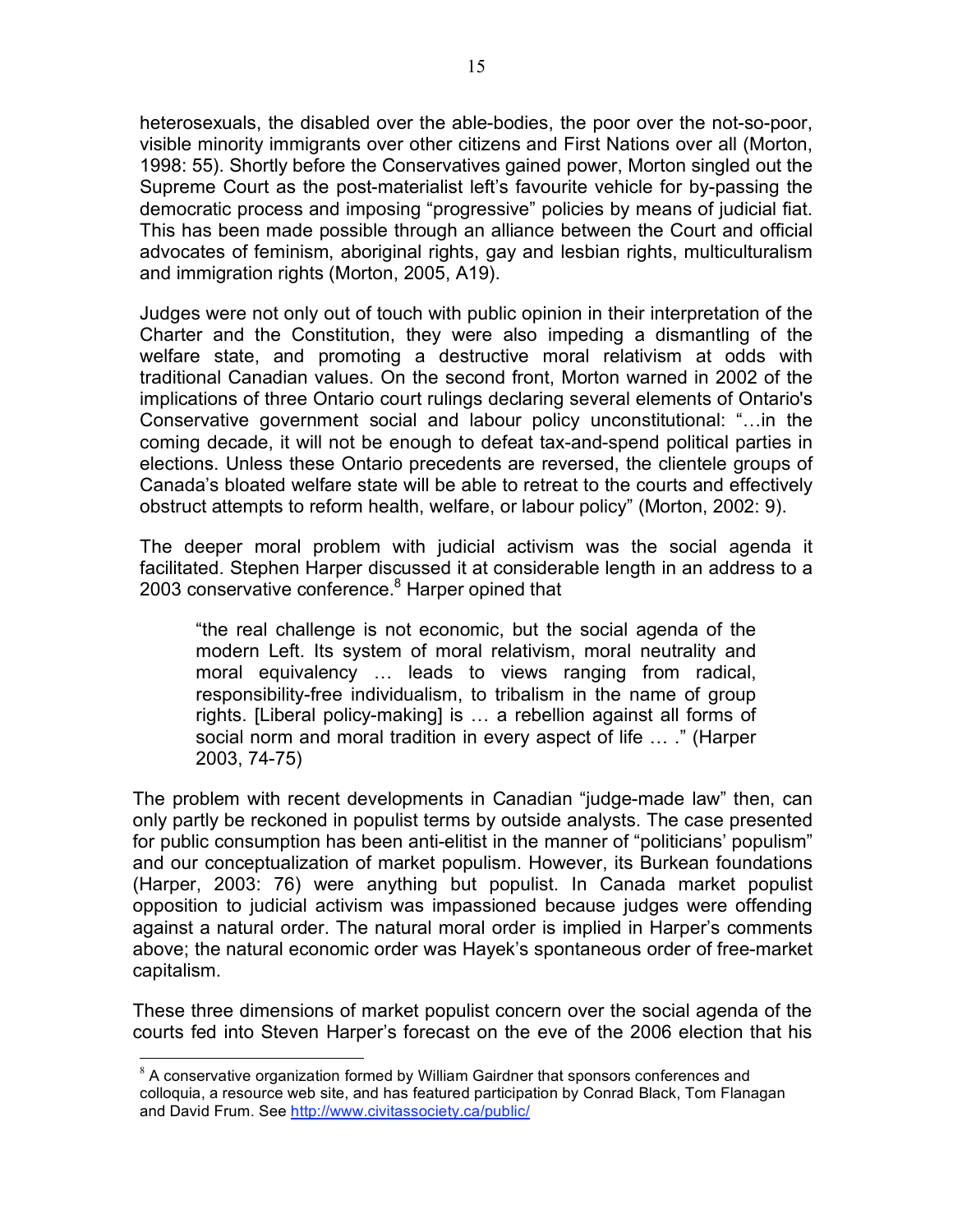heterosexuals, the disabled over the able-bodies, the poor over the not-so-poor, visible minority immigrants over other citizens and First Nations over all (Morton, 1998: 55). Shortly before the Conservatives gained power, Morton singled out the Supreme Court as the post-materialist left's favourite vehicle for by-passing the democratic process and imposing "progressive" policies by means of judicial fiat. This has been made possible through an alliance between the Court and official advocates of feminism, aboriginal rights, gay and lesbian rights, multiculturalism and immigration rights (Morton, 2005, A19).

Judges were not only out of touch with public opinion in their interpretation of the Charter and the Constitution, they were also impeding a dismantling of the welfare state, and promoting a destructive moral relativism at odds with traditional Canadian values. On the second front, Morton warned in 2002 of the implications of three Ontario court rulings declaring several elements of Ontario's Conservative government social and labour policy unconstitutional: "…in the coming decade, it will not be enough to defeat tax-and-spend political parties in elections. Unless these Ontario precedents are reversed, the clientele groups of Canada's bloated welfare state will be able to retreat to the courts and effectively obstruct attempts to reform health, welfare, or labour policy" (Morton, 2002: 9).

The deeper moral problem with judicial activism was the social agenda it facilitated. Stephen Harper discussed it at considerable length in an address to a 2003 conservative conference.<sup>8</sup> Harper opined that

"the real challenge is not economic, but the social agenda of the modern Left. Its system of moral relativism, moral neutrality and moral equivalency … leads to views ranging from radical, responsibility-free individualism, to tribalism in the name of group rights. [Liberal policy-making] is … a rebellion against all forms of social norm and moral tradition in every aspect of life … ." (Harper 2003, 74-75)

The problem with recent developments in Canadian "judge-made law" then, can only partly be reckoned in populist terms by outside analysts. The case presented for public consumption has been anti-elitist in the manner of "politicians' populism" and our conceptualization of market populism. However, its Burkean foundations (Harper, 2003: 76) were anything but populist. In Canada market populist opposition to judicial activism was impassioned because judges were offending against a natural order. The natural moral order is implied in Harper's comments above; the natural economic order was Hayek's spontaneous order of free-market capitalism.

These three dimensions of market populist concern over the social agenda of the courts fed into Steven Harper's forecast on the eve of the 2006 election that his

 $8$  A conservative organization formed by William Gairdner that sponsors conferences and colloquia, a resource web site, and has featured participation by Conrad Black, Tom Flanagan and David Frum. See http://www.civitassociety.ca/public/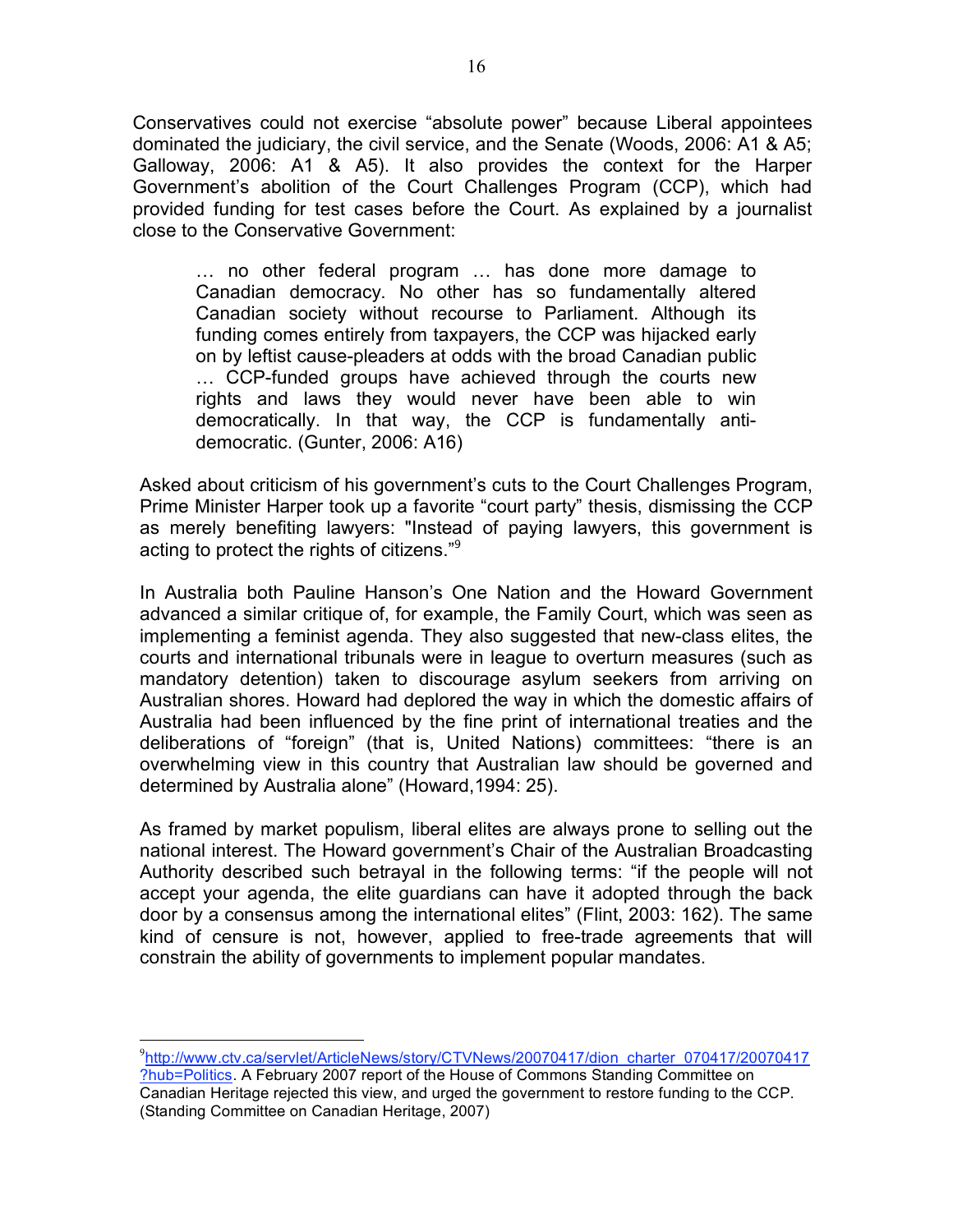Conservatives could not exercise "absolute power" because Liberal appointees dominated the judiciary, the civil service, and the Senate (Woods, 2006: A1 & A5; Galloway, 2006: A1 & A5). It also provides the context for the Harper Government's abolition of the Court Challenges Program (CCP), which had provided funding for test cases before the Court. As explained by a journalist close to the Conservative Government:

… no other federal program … has done more damage to Canadian democracy. No other has so fundamentally altered Canadian society without recourse to Parliament. Although its funding comes entirely from taxpayers, the CCP was hijacked early on by leftist cause-pleaders at odds with the broad Canadian public … CCP-funded groups have achieved through the courts new rights and laws they would never have been able to win democratically. In that way, the CCP is fundamentally antidemocratic. (Gunter, 2006: A16)

Asked about criticism of his government's cuts to the Court Challenges Program, Prime Minister Harper took up a favorite "court party" thesis, dismissing the CCP as merely benefiting lawyers: "Instead of paying lawyers, this government is acting to protect the rights of citizens."<sup>9</sup>

In Australia both Pauline Hanson's One Nation and the Howard Government advanced a similar critique of, for example, the Family Court, which was seen as implementing a feminist agenda. They also suggested that new-class elites, the courts and international tribunals were in league to overturn measures (such as mandatory detention) taken to discourage asylum seekers from arriving on Australian shores. Howard had deplored the way in which the domestic affairs of Australia had been influenced by the fine print of international treaties and the deliberations of "foreign" (that is, United Nations) committees: "there is an overwhelming view in this country that Australian law should be governed and determined by Australia alone" (Howard,1994: 25).

As framed by market populism, liberal elites are always prone to selling out the national interest. The Howard government's Chair of the Australian Broadcasting Authority described such betrayal in the following terms: "if the people will not accept your agenda, the elite guardians can have it adopted through the back door by a consensus among the international elites" (Flint, 2003: 162). The same kind of censure is not, however, applied to free-trade agreements that will constrain the ability of governments to implement popular mandates.

<sup>&</sup>lt;sup>-</sup>9 <sup>9</sup>http://www.ctv.ca/servlet/ArticleNews/story/CTVNews/20070417/dion\_charter\_070417/20070417 ?hub=Politics. A February 2007 report of the House of Commons Standing Committee on Canadian Heritage rejected this view, and urged the government to restore funding to the CCP. (Standing Committee on Canadian Heritage, 2007)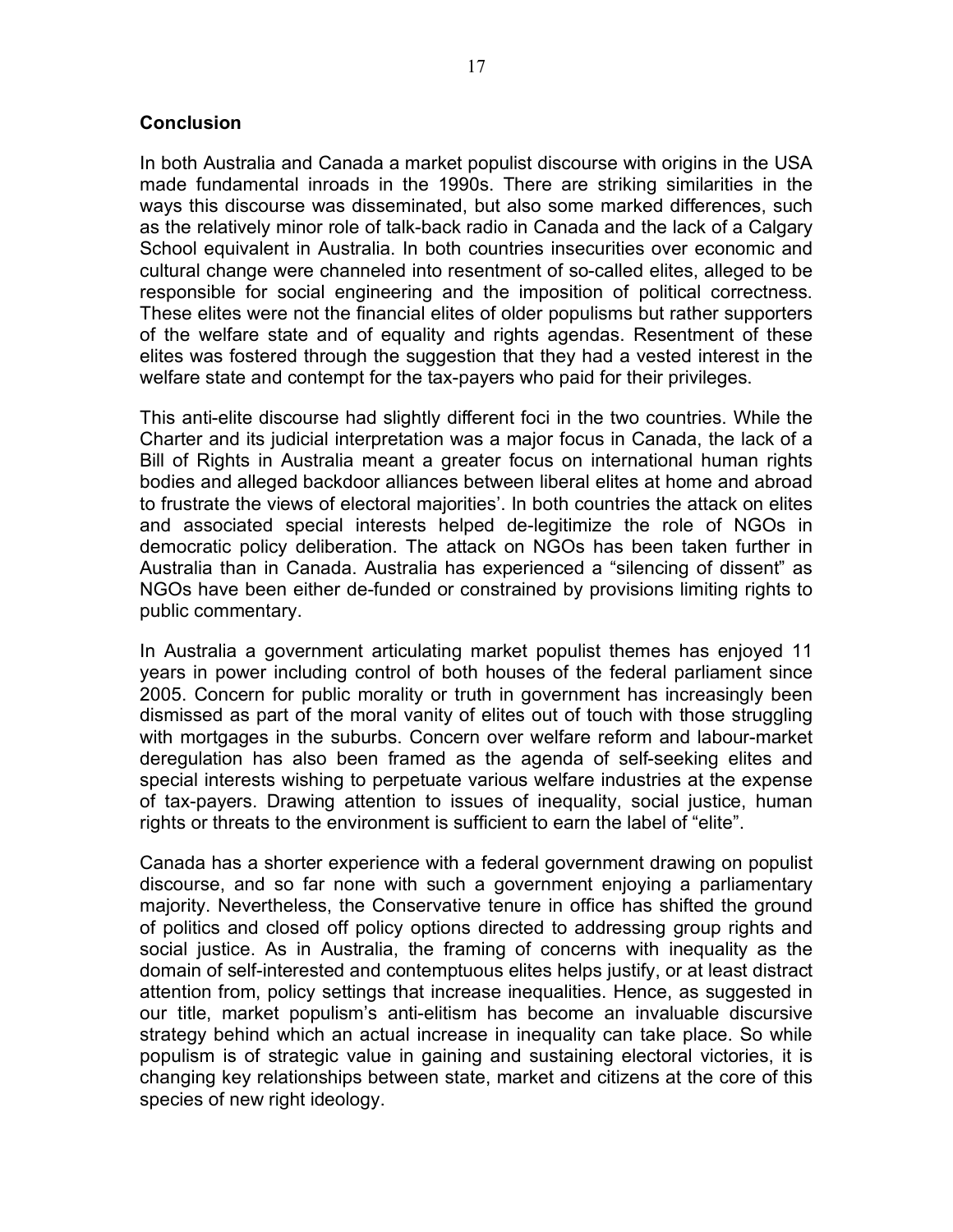#### **Conclusion**

In both Australia and Canada a market populist discourse with origins in the USA made fundamental inroads in the 1990s. There are striking similarities in the ways this discourse was disseminated, but also some marked differences, such as the relatively minor role of talk-back radio in Canada and the lack of a Calgary School equivalent in Australia. In both countries insecurities over economic and cultural change were channeled into resentment of so-called elites, alleged to be responsible for social engineering and the imposition of political correctness. These elites were not the financial elites of older populisms but rather supporters of the welfare state and of equality and rights agendas. Resentment of these elites was fostered through the suggestion that they had a vested interest in the welfare state and contempt for the tax-payers who paid for their privileges.

This anti-elite discourse had slightly different foci in the two countries. While the Charter and its judicial interpretation was a major focus in Canada, the lack of a Bill of Rights in Australia meant a greater focus on international human rights bodies and alleged backdoor alliances between liberal elites at home and abroad to frustrate the views of electoral majorities'. In both countries the attack on elites and associated special interests helped de-legitimize the role of NGOs in democratic policy deliberation. The attack on NGOs has been taken further in Australia than in Canada. Australia has experienced a "silencing of dissent" as NGOs have been either de-funded or constrained by provisions limiting rights to public commentary.

In Australia a government articulating market populist themes has enjoyed 11 years in power including control of both houses of the federal parliament since 2005. Concern for public morality or truth in government has increasingly been dismissed as part of the moral vanity of elites out of touch with those struggling with mortgages in the suburbs. Concern over welfare reform and labour-market deregulation has also been framed as the agenda of self-seeking elites and special interests wishing to perpetuate various welfare industries at the expense of tax-payers. Drawing attention to issues of inequality, social justice, human rights or threats to the environment is sufficient to earn the label of "elite".

Canada has a shorter experience with a federal government drawing on populist discourse, and so far none with such a government enjoying a parliamentary majority. Nevertheless, the Conservative tenure in office has shifted the ground of politics and closed off policy options directed to addressing group rights and social justice. As in Australia, the framing of concerns with inequality as the domain of self-interested and contemptuous elites helps justify, or at least distract attention from, policy settings that increase inequalities. Hence, as suggested in our title, market populism's anti-elitism has become an invaluable discursive strategy behind which an actual increase in inequality can take place. So while populism is of strategic value in gaining and sustaining electoral victories, it is changing key relationships between state, market and citizens at the core of this species of new right ideology.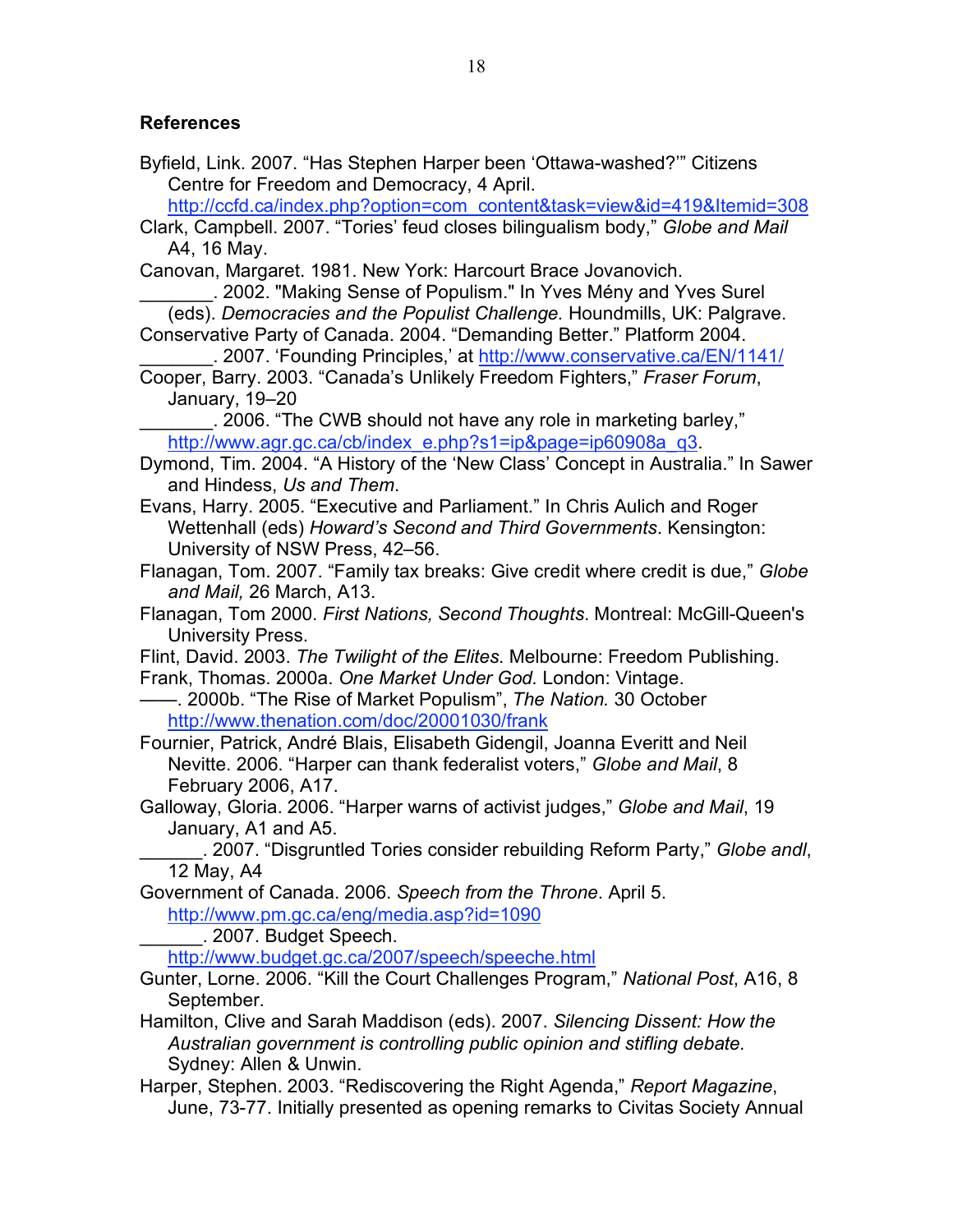#### **References**

Byfield, Link. 2007. "Has Stephen Harper been 'Ottawa-washed?'" Citizens Centre for Freedom and Democracy, 4 April.

http://ccfd.ca/index.php?option=com\_content&task=view&id=419&Itemid=308

Clark, Campbell. 2007. "Tories' feud closes bilingualism body," *Globe and Mail* A4, 16 May.

Canovan, Margaret. 1981. New York: Harcourt Brace Jovanovich.

\_\_\_\_\_\_\_. 2002. "Making Sense of Populism." In Yves Mény and Yves Surel (eds). *Democracies and the Populist Challenge.* Houndmills, UK: Palgrave. Conservative Party of Canada. 2004. "Demanding Better." Platform 2004.

\_\_\_\_\_\_\_. 2007. 'Founding Principles,' at http://www.conservative.ca/EN/1141/

Cooper, Barry. 2003. "Canada's Unlikely Freedom Fighters," *Fraser Forum*, January, 19–20

\_\_\_\_\_\_\_. 2006. "The CWB should not have any role in marketing barley," http://www.agr.gc.ca/cb/index\_e.php?s1=ip&page=ip60908a\_q3.

Dymond, Tim. 2004. "A History of the 'New Class' Concept in Australia." In Sawer and Hindess, *Us and Them*.

Evans, Harry. 2005. "Executive and Parliament." In Chris Aulich and Roger Wettenhall (eds) *Howard's Second and Third Governments*. Kensington: University of NSW Press, 42–56.

Flanagan, Tom. 2007. "Family tax breaks: Give credit where credit is due," *Globe and Mail,* 26 March, A13.

Flanagan, Tom 2000. *First Nations, Second Thoughts*. Montreal: McGill-Queen's University Press.

Flint, David. 2003. *The Twilight of the Elites.* Melbourne: Freedom Publishing.

Frank, Thomas. 2000a. *One Market Under God.* London: Vintage.

——. 2000b. "The Rise of Market Populism", *The Nation.* 30 October http://www.thenation.com/doc/20001030/frank

Fournier, Patrick, André Blais, Elisabeth Gidengil, Joanna Everitt and Neil Nevitte. 2006. "Harper can thank federalist voters," *Globe and Mail*, 8 February 2006, A17.

Galloway, Gloria. 2006. "Harper warns of activist judges," *Globe and Mail*, 19 January, A1 and A5.

\_\_\_\_\_\_. 2007. "Disgruntled Tories consider rebuilding Reform Party," *Globe andl*, 12 May, A4

Government of Canada. 2006. *Speech from the Throne*. April 5. http://www.pm.gc.ca/eng/media.asp?id=1090

\_\_\_\_\_\_. 2007. Budget Speech.

http://www.budget.gc.ca/2007/speech/speeche.html

Gunter, Lorne. 2006. "Kill the Court Challenges Program," *National Post*, A16, 8 September.

- Hamilton, Clive and Sarah Maddison (eds). 2007. *Silencing Dissent: How the Australian government is controlling public opinion and stifling debate.* Sydney: Allen & Unwin.
- Harper, Stephen. 2003. "Rediscovering the Right Agenda," *Report Magazine*, June, 73-77. Initially presented as opening remarks to Civitas Society Annual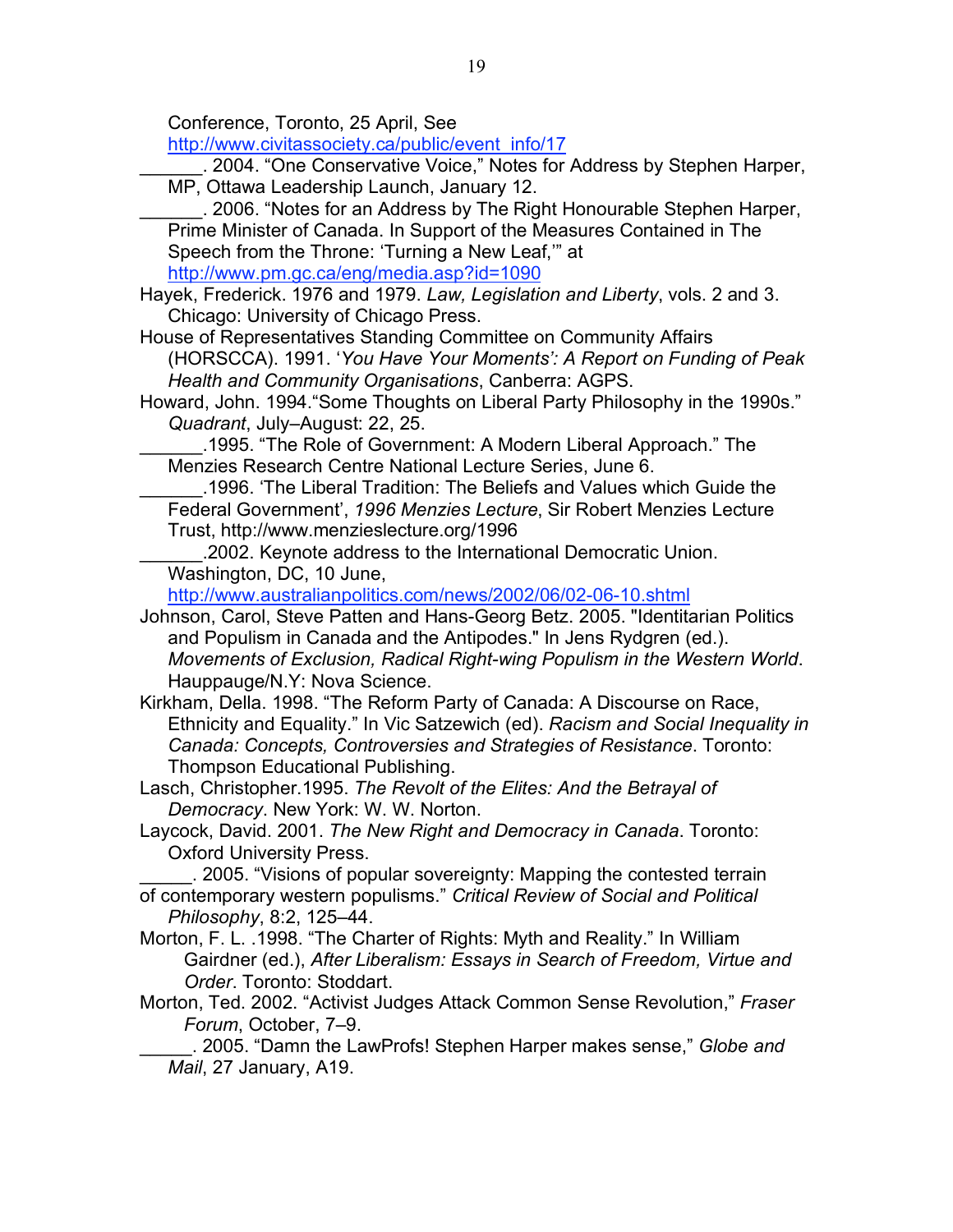Conference, Toronto, 25 April, See

http://www.civitassociety.ca/public/event\_info/17

\_\_\_\_\_\_. 2004. "One Conservative Voice," Notes for Address by Stephen Harper, MP, Ottawa Leadership Launch, January 12.

\_\_\_\_\_\_. 2006. "Notes for an Address by The Right Honourable Stephen Harper, Prime Minister of Canada. In Support of the Measures Contained in The Speech from the Throne: 'Turning a New Leaf,'" at http://www.pm.gc.ca/eng/media.asp?id=1090

Hayek, Frederick. 1976 and 1979. *Law, Legislation and Liberty*, vols. 2 and 3. Chicago: University of Chicago Press.

House of Representatives Standing Committee on Community Affairs (HORSCCA). 1991. '*You Have Your Moments': A Report on Funding of Peak Health and Community Organisations*, Canberra: AGPS.

Howard, John. 1994."Some Thoughts on Liberal Party Philosophy in the 1990s." *Quadrant*, July–August: 22, 25.

\_\_\_\_\_\_.1995. "The Role of Government: A Modern Liberal Approach." The Menzies Research Centre National Lecture Series, June 6.

\_\_\_\_\_\_.1996. 'The Liberal Tradition: The Beliefs and Values which Guide the Federal Government', *1996 Menzies Lecture*, Sir Robert Menzies Lecture Trust, http://www.menzieslecture.org/1996

\_\_\_\_\_\_.2002. Keynote address to the International Democratic Union. Washington, DC, 10 June,

http://www.australianpolitics.com/news/2002/06/02-06-10.shtml

Johnson, Carol, Steve Patten and Hans-Georg Betz. 2005. "Identitarian Politics and Populism in Canada and the Antipodes." In Jens Rydgren (ed.). *Movements of Exclusion, Radical Right-wing Populism in the Western World*. Hauppauge/N.Y: Nova Science.

Kirkham, Della. 1998. "The Reform Party of Canada: A Discourse on Race, Ethnicity and Equality." In Vic Satzewich (ed). *Racism and Social Inequality in Canada: Concepts, Controversies and Strategies of Resistance*. Toronto: Thompson Educational Publishing.

Lasch, Christopher.1995. *The Revolt of the Elites: And the Betrayal of Democracy*. New York: W. W. Norton.

Laycock, David. 2001. *The New Right and Democracy in Canada*. Toronto: Oxford University Press.

\_\_\_\_\_. 2005. "Visions of popular sovereignty: Mapping the contested terrain of contemporary western populisms." *Critical Review of Social and Political Philosophy*, 8:2, 125–44.

Morton, F. L. .1998. "The Charter of Rights: Myth and Reality." In William Gairdner (ed.), *After Liberalism: Essays in Search of Freedom, Virtue and Order*. Toronto: Stoddart.

Morton, Ted. 2002. "Activist Judges Attack Common Sense Revolution," *Fraser Forum*, October, 7–9.

\_\_\_\_\_. 2005. "Damn the LawProfs! Stephen Harper makes sense," *Globe and Mail*, 27 January, A19.